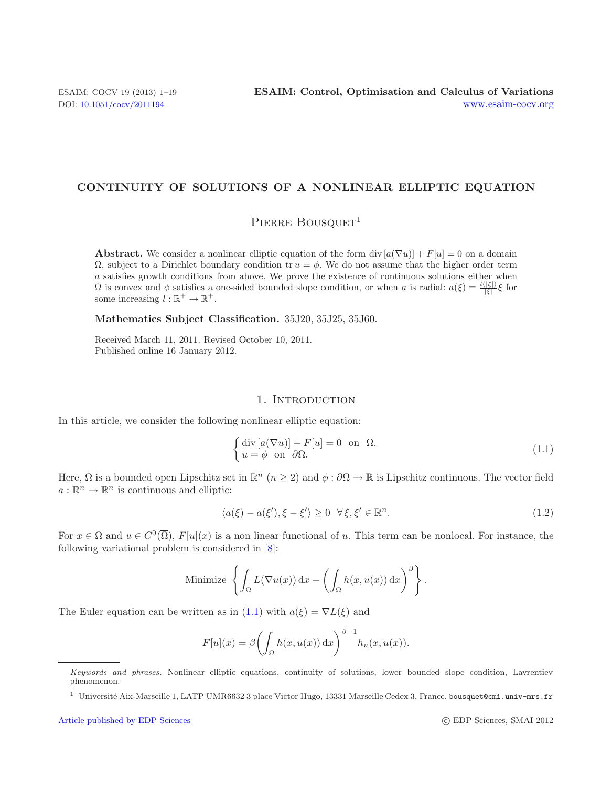# **CONTINUITY OF SOLUTIONS OF A NONLINEAR ELLIPTIC EQUATION**

# <span id="page-0-0"></span>PIERRE BOUSQUET<sup>1</sup>

**Abstract.** We consider a nonlinear elliptic equation of the form div  $[a(\nabla u)] + F[u] = 0$  on a domain  $\Omega$ , subject to a Dirichlet boundary condition tr  $u = \phi$ . We do not assume that the higher order term a satisfies growth conditions from above. We prove the existence of continuous solutions either when  $Ω$  is convex and  $φ$  satisfies a one-sided bounded slope condition, or when *a* is radial:  $a(ξ) = \frac{l(|ξ|)}{|ξ|}ξ$  for some increasing  $l : \mathbb{R}^+ \to \mathbb{R}^+$ .

**Mathematics Subject Classification.** 35J20, 35J25, 35J60.

<span id="page-0-1"></span>Received March 11, 2011. Revised October 10, 2011. Published online 16 January 2012.

# 1. INTRODUCTION

In this article, we consider the following nonlinear elliptic equation:

$$
\begin{cases} \operatorname{div} [a(\nabla u)] + F[u] = 0 \quad \text{on} \quad \Omega, \\ u = \phi \quad \text{on} \quad \partial \Omega. \end{cases} \tag{1.1}
$$

Here,  $\Omega$  is a bounded open Lipschitz set in  $\mathbb{R}^n$   $(n \geq 2)$  and  $\phi : \partial \Omega \to \mathbb{R}$  is Lipschitz continuous. The vector field  $a: \mathbb{R}^n \to \mathbb{R}^n$  is continuous and elliptic:

$$
\langle a(\xi) - a(\xi'), \xi - \xi' \rangle \ge 0 \quad \forall \xi, \xi' \in \mathbb{R}^n. \tag{1.2}
$$

For  $x \in \Omega$  and  $u \in C^0(\overline{\Omega})$ ,  $F[u](x)$  is a non linear functional of u. This term can be nonlocal. For instance, the following variational problem is considered in [\[8](#page-18-0)]:

Minimize 
$$
\left\{ \int_{\Omega} L(\nabla u(x)) dx - \left( \int_{\Omega} h(x, u(x)) dx \right)^{\beta} \right\}.
$$

The Euler equation can be written as in [\(1.1\)](#page-0-0) with  $a(\xi) = \nabla L(\xi)$  and

$$
F[u](x) = \beta \left( \int_{\Omega} h(x, u(x)) dx \right)^{\beta - 1} h_u(x, u(x)).
$$

Keywords and phrases. Nonlinear elliptic equations, continuity of solutions, lower bounded slope condition, Lavrentiev phenomenon.

 $^1$ Université Aix-Marseille 1, LATP UMR6632 3 place Victor Hugo, 13331 Marseille Cedex 3, France. bousquet@cmi.univ-mrs.fr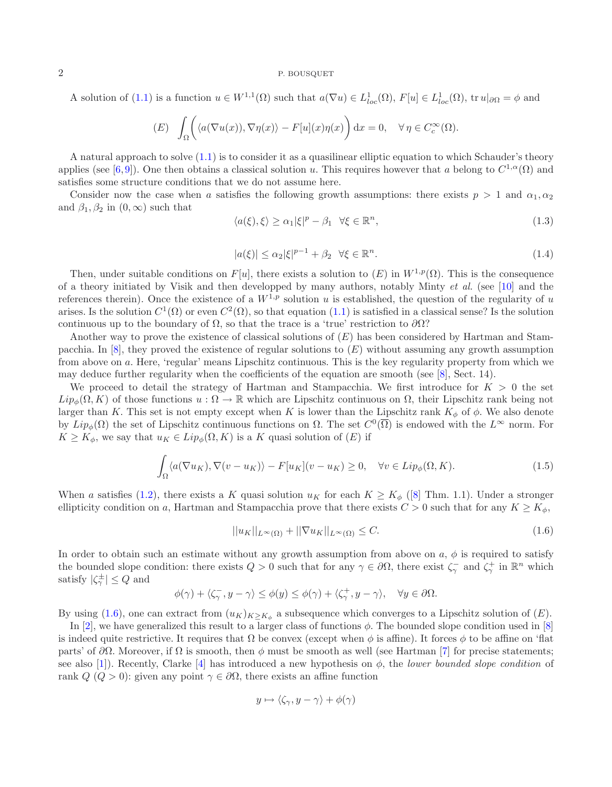<span id="page-1-1"></span>A solution of [\(1.1\)](#page-0-0) is a function  $u \in W^{1,1}(\Omega)$  such that  $a(\nabla u) \in L^1_{loc}(\Omega)$ ,  $F[u] \in L^1_{loc}(\Omega)$ ,  $tr u|_{\partial\Omega} = \phi$  and

(E) 
$$
\int_{\Omega} \left( \langle a(\nabla u(x)), \nabla \eta(x) \rangle - F[u](x) \eta(x) \right) dx = 0, \quad \forall \eta \in C_c^{\infty}(\Omega).
$$

A natural approach to solve [\(1.1\)](#page-0-0) is to consider it as a quasilinear elliptic equation to which Schauder's theory applies (see [\[6,](#page-18-1)[9\]](#page-18-2)). One then obtains a classical solution u. This requires however that a belong to  $C^{1,\alpha}(\Omega)$  and satisfies some structure conditions that we do not assume here.

Consider now the case when a satisfies the following growth assumptions: there exists  $p > 1$  and  $\alpha_1, \alpha_2$ and  $\beta_1, \beta_2$  in  $(0, \infty)$  such that

$$
\langle a(\xi), \xi \rangle \ge \alpha_1 |\xi|^p - \beta_1 \quad \forall \xi \in \mathbb{R}^n,\tag{1.3}
$$

<span id="page-1-2"></span><span id="page-1-0"></span>
$$
|a(\xi)| \le \alpha_2 |\xi|^{p-1} + \beta_2 \quad \forall \xi \in \mathbb{R}^n. \tag{1.4}
$$

Then, under suitable conditions on F[u], there exists a solution to  $(E)$  in  $W^{1,p}(\Omega)$ . This is the consequence of a theory initiated by Visik and then developped by many authors, notably Minty *et al.* (see [\[10\]](#page-18-3) and the references therein). Once the existence of a  $W^{1,p}$  solution u is established, the question of the regularity of u arises. Is the solution  $C^1(\Omega)$  or even  $C^2(\Omega)$ , so that equation [\(1.1\)](#page-0-0) is satisfied in a classical sense? Is the solution continuous up to the boundary of  $\Omega$ , so that the trace is a 'true' restriction to  $\partial\Omega$ ?

Another way to prove the existence of classical solutions of  $(E)$  has been considered by Hartman and Stampacchia. In  $[8]$ , they proved the existence of regular solutions to  $(E)$  without assuming any growth assumption from above on a. Here, 'regular' means Lipschitz continuous. This is the key regularity property from which we may deduce further regularity when the coefficients of the equation are smooth (see [\[8\]](#page-18-0), Sect. 14).

We proceed to detail the strategy of Hartman and Stampacchia. We first introduce for  $K > 0$  the set  $Lip_{\phi}(\Omega, K)$  of those functions  $u : \Omega \to \mathbb{R}$  which are Lipschitz continuous on  $\Omega$ , their Lipschitz rank being not larger than K. This set is not empty except when K is lower than the Lipschitz rank  $K_{\phi}$  of  $\phi$ . We also denote by  $Lip_{\phi}(\Omega)$  the set of Lipschitz continuous functions on  $\Omega$ . The set  $C^{0}(\overline{\Omega})$  is endowed with the  $L^{\infty}$  norm. For  $K \geq K_{\phi}$ , we say that  $u_K \in Lip_{\phi}(\Omega, K)$  is a K quasi solution of  $(E)$  if

$$
\int_{\Omega} \langle a(\nabla u_K), \nabla (v - u_K) \rangle - F[u_K](v - u_K) \ge 0, \quad \forall v \in Lip_{\phi}(\Omega, K).
$$
\n(1.5)

When a satisfies [\(1.2\)](#page-0-1), there exists a K quasi solution  $u_K$  for each  $K \geq K_\phi$  ([\[8\]](#page-18-0) Thm. 1.1). Under a stronger ellipticity condition on a, Hartman and Stampacchia prove that there exists  $C > 0$  such that for any  $K \geq K_{\phi}$ ,

$$
||u_K||_{L^{\infty}(\Omega)} + ||\nabla u_K||_{L^{\infty}(\Omega)} \leq C. \tag{1.6}
$$

In order to obtain such an estimate without any growth assumption from above on  $a, \phi$  is required to satisfy the bounded slope condition: there exists  $Q > 0$  such that for any  $\gamma \in \partial\Omega$ , there exist  $\zeta_{\gamma}^{-}$  and  $\zeta_{\gamma}^{+}$  in  $\mathbb{R}^{n}$  which satisfy  $|\zeta^{\pm}_{\gamma}| \leq Q$  and

$$
\phi(\gamma) + \langle \zeta_{\gamma}^-, y - \gamma \rangle \le \phi(y) \le \phi(\gamma) + \langle \zeta_{\gamma}^+, y - \gamma \rangle, \quad \forall y \in \partial \Omega.
$$

By using [\(1.6\)](#page-1-0), one can extract from  $(u_K)_{K\geq K_\phi}$  a subsequence which converges to a Lipschitz solution of  $(E)$ .

In [\[2\]](#page-18-4), we have generalized this result to a larger class of functions  $\phi$ . The bounded slope condition used in [\[8\]](#page-18-0) is indeed quite restrictive. It requires that  $\Omega$  be convex (except when  $\phi$  is affine). It forces  $\phi$  to be affine on 'flat parts' of  $\partial\Omega$ . Moreover, if  $\Omega$  is smooth, then  $\phi$  must be smooth as well (see Hartman [\[7](#page-18-5)] for precise statements; see also [\[1](#page-18-6)]). Recently, Clarke [\[4\]](#page-18-7) has introduced a new hypothesis on φ, the *lower bounded slope condition* of rank  $Q$  ( $Q > 0$ ): given any point  $\gamma \in \partial \Omega$ , there exists an affine function

$$
y \mapsto \langle \zeta_{\gamma}, y - \gamma \rangle + \phi(\gamma)
$$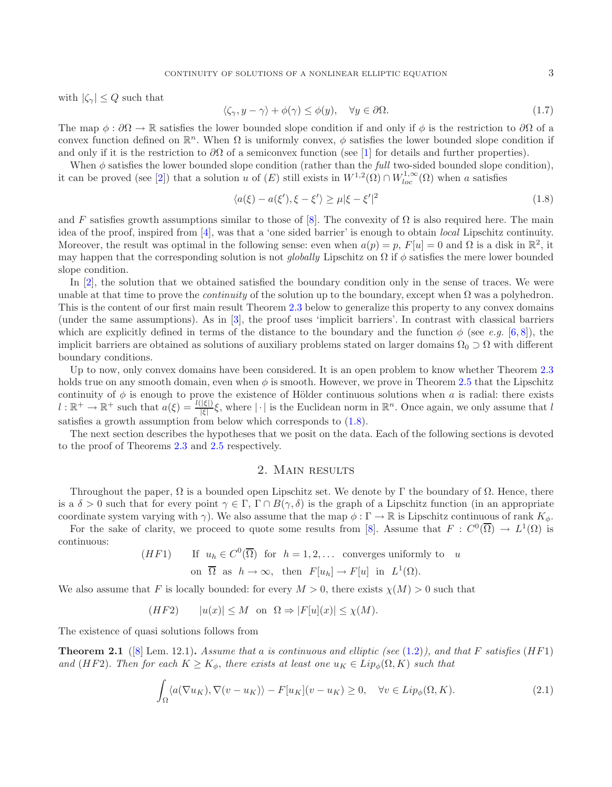<span id="page-2-1"></span>with  $|\zeta_{\gamma}| \leq Q$  such that

<span id="page-2-0"></span>
$$
\langle \zeta_{\gamma}, y - \gamma \rangle + \phi(\gamma) \le \phi(y), \quad \forall y \in \partial \Omega.
$$
\n(1.7)

The map  $\phi : \partial\Omega \to \mathbb{R}$  satisfies the lower bounded slope condition if and only if  $\phi$  is the restriction to  $\partial\Omega$  of a convex function defined on  $\mathbb{R}^n$ . When  $\Omega$  is uniformly convex,  $\phi$  satisfies the lower bounded slope condition if and only if it is the restriction to  $\partial\Omega$  of a semiconvex function (see [\[1\]](#page-18-6) for details and further properties).

When  $\phi$  satisfies the lower bounded slope condition (rather than the *full* two-sided bounded slope condition), it can be proved (see [\[2\]](#page-18-4)) that a solution u of  $(E)$  still exists in  $W^{1,2}(\Omega) \cap W^{1,\infty}_{loc}(\Omega)$  when a satisfies

$$
\langle a(\xi) - a(\xi'), \xi - \xi' \rangle \ge \mu |\xi - \xi'|^2 \tag{1.8}
$$

and F satisfies growth assumptions similar to those of [\[8\]](#page-18-0). The convexity of  $\Omega$  is also required here. The main idea of the proof, inspired from [\[4\]](#page-18-7), was that a 'one sided barrier' is enough to obtain *local* Lipschitz continuity. Moreover, the result was optimal in the following sense: even when  $a(p) = p$ ,  $F[u] = 0$  and  $\Omega$  is a disk in  $\mathbb{R}^2$ , it may happen that the corresponding solution is not *globally* Lipschitz on  $\Omega$  if  $\phi$  satisfies the mere lower bounded slope condition.

In [\[2\]](#page-18-4), the solution that we obtained satisfied the boundary condition only in the sense of traces. We were unable at that time to prove the *continuity* of the solution up to the boundary, except when  $\Omega$  was a polyhedron. This is the content of our first main result Theorem [2.3](#page-3-0) below to generalize this property to any convex domains (under the same assumptions). As in [\[3](#page-18-8)], the proof uses 'implicit barriers'. In contrast with classical barriers which are explicitly defined in terms of the distance to the boundary and the function  $\phi$  (see *e.g.* [\[6](#page-18-1),[8\]](#page-18-0)), the implicit barriers are obtained as solutions of auxiliary problems stated on larger domains  $\Omega_0 \supset \Omega$  with different boundary conditions.

Up to now, only convex domains have been considered. It is an open problem to know whether Theorem [2.3](#page-3-0) holds true on any smooth domain, even when  $\phi$  is smooth. However, we prove in Theorem [2.5](#page-3-1) that the Lipschitz continuity of  $\phi$  is enough to prove the existence of Hölder continuous solutions when a is radial: there exists  $l : \mathbb{R}^+ \to \mathbb{R}^+$  such that  $a(\xi) = \frac{l(|\xi|)}{|\xi|} \xi$ , where  $|\cdot|$  is the Euclidean norm in  $\mathbb{R}^n$ . Once again, we only assume that l satisfies a growth assumption from below which corresponds to [\(1.8\)](#page-2-0).

The next section describes the hypotheses that we posit on the data. Each of the following sections is devoted to the proof of Theorems [2.3](#page-3-0) and [2.5](#page-3-1) respectively.

## 2. Main results

Throughout the paper,  $\Omega$  is a bounded open Lipschitz set. We denote by Γ the boundary of  $\Omega$ . Hence, there is a  $\delta > 0$  such that for every point  $\gamma \in \Gamma$ ,  $\Gamma \cap B(\gamma, \delta)$  is the graph of a Lipschitz function (in an appropriate coordinate system varying with  $\gamma$ ). We also assume that the map  $\phi : \Gamma \to \mathbb{R}$  is Lipschitz continuous of rank  $K_{\phi}$ .

For the sake of clarity, we proceed to quote some results from [\[8\]](#page-18-0). Assume that  $F: C^0(\overline{\Omega}) \to L^1(\Omega)$  is continuous:

(HF1) If  $u_h \in C^0(\overline{\Omega})$  for  $h = 1, 2, ...$  converges uniformly to u on  $\overline{\Omega}$  as  $h \to \infty$ , then  $F[u_h] \to F[u]$  in  $L^1(\Omega)$ .

We also assume that F is locally bounded: for every  $M > 0$ , there exists  $\chi(M) > 0$  such that

$$
(HF2) \qquad |u(x)| \le M \text{ on } \Omega \Rightarrow |F[u](x)| \le \chi(M).
$$

<span id="page-2-2"></span>The existence of quasi solutions follows from

**Theorem 2.1** ([\[8\]](#page-18-0) Lem. 12.1)**.** *Assume that* a *is continuous and elliptic (see* [\(1.2\)](#page-0-1)*), and that* F *satisfies* (HF1) *and* (HF2). Then for each  $K \geq K_{\phi}$ , there exists at least one  $u_K \in Lip_{\phi}(\Omega, K)$  such that

$$
\int_{\Omega} \langle a(\nabla u_K), \nabla (v - u_K) \rangle - F[u_K](v - u_K) \ge 0, \quad \forall v \in Lip_\phi(\Omega, K). \tag{2.1}
$$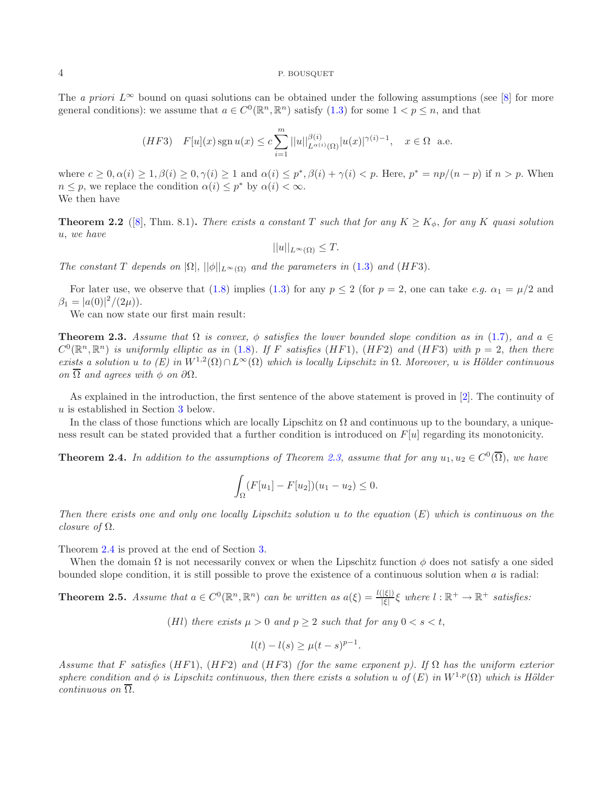The *a priori*  $L^{\infty}$  bound on quasi solutions can be obtained under the following assumptions (see [\[8](#page-18-0)] for more general conditions): we assume that  $a \in C^{0}(\mathbb{R}^{n}, \mathbb{R}^{n})$  satisfy [\(1.3\)](#page-1-1) for some  $1 \leq p \leq n$ , and that

$$
(HF3)\quad F[u](x)\operatorname{sgn} u(x)\leq c\sum_{i=1}^m||u||_{L^{\alpha(i)}(\Omega)}^{\beta(i)}|u(x)|^{\gamma(i)-1},\quad x\in\Omega\quad\text{a.e.}
$$

<span id="page-3-3"></span>where  $c \geq 0, \alpha(i) \geq 1, \beta(i) \geq 0, \gamma(i) \geq 1$  and  $\alpha(i) \leq p^*, \beta(i) + \gamma(i) < p$ . Here,  $p^* = np/(n-p)$  if  $n > p$ . When  $n \leq p$ , we replace the condition  $\alpha(i) \leq p^*$  by  $\alpha(i) < \infty$ . We then have

**Theorem 2.2** ([\[8\]](#page-18-0), Thm. 8.1). *There exists a constant* T *such that for any*  $K \ge K_{\phi}$ , *for any* K *quasi solution* u, *we have*

 $||u||_{L^{\infty}(\Omega)} \leq T.$ 

*The constant*  $T$  *depends on*  $|\Omega|$ ,  $||\phi||_{L^{\infty}(\Omega)}$  *and the parameters in* [\(1.3\)](#page-1-1) *and* (*HF3*).

For later use, we observe that [\(1.8\)](#page-2-0) implies [\(1.3\)](#page-1-1) for any  $p \le 2$  (for  $p = 2$ , one can take *e.g.*  $\alpha_1 = \mu/2$  and  $\beta_1 = |a(0)|^2/(2\mu)).$ 

We can now state our first main result:

<span id="page-3-0"></span>**Theorem 2.3.** *Assume that*  $\Omega$  *is convex,*  $\phi$  *satisfies the lower bounded slope condition as in* [\(1.7\)](#page-2-1)*, and*  $a \in \mathbb{R}$  $C^0(\mathbb{R}^n, \mathbb{R}^n)$  *is uniformly elliptic as in* [\(1.8\)](#page-2-0). If F *satisfies* (HF1), (HF2) and (HF3) with  $p = 2$ , then there  $exists a solution u to (E) in W^{1,2}(\Omega) \cap L^{\infty}(\Omega)$  *which is locally Lipschitz in*  $\Omega$ . Moreover, u *is Hölder continuous on*  $\overline{\Omega}$  *and agrees with* φ *on*  $\partial\Omega$ .

As explained in the introduction, the first sentence of the above statement is proved in [\[2\]](#page-18-4). The continuity of u is established in Section [3](#page-4-0) below.

<span id="page-3-2"></span>In the class of those functions which are locally Lipschitz on  $\Omega$  and continuous up to the boundary, a uniqueness result can be stated provided that a further condition is introduced on  $F[u]$  regarding its monotonicity.

**Theorem 2.4.** *In addition to the assumptions of Theorem [2.3,](#page-3-0) assume that for any*  $u_1, u_2 \in C^0(\overline{\Omega})$ *, we have* 

$$
\int_{\Omega} (F[u_1] - F[u_2])(u_1 - u_2) \le 0.
$$

*Then there exists one and only one locally Lipschitz solution* u *to the equation* (E) *which is continuous on the closure of* Ω.

Theorem [2.4](#page-3-2) is proved at the end of Section [3.](#page-4-0)

<span id="page-3-1"></span>When the domain  $\Omega$  is not necessarily convex or when the Lipschitz function  $\phi$  does not satisfy a one sided bounded slope condition, it is still possible to prove the existence of a continuous solution when a is radial:

**Theorem 2.5.** *Assume that*  $a \in C^0(\mathbb{R}^n, \mathbb{R}^n)$  *can be written as*  $a(\xi) = \frac{l(|\xi|)}{|\xi|} \xi$  where  $l : \mathbb{R}^+ \to \mathbb{R}^+$  *satisfies:* 

(Hl) there exists  $\mu > 0$  and  $p \geq 2$  such that for any  $0 < s < t$ ,

$$
l(t) - l(s) \ge \mu(t - s)^{p-1}.
$$

*Assume that* F *satisfies* (HF1), (HF2) *and* (HF3) *(for the same exponent* p*). If* Ω *has the uniform exterior sphere condition and*  $\phi$  *is Lipschitz continuous, then there exists a solution* u *of* (E) *in*  $W^{1,p}(\Omega)$  *which is Hölder continuous on* Ω.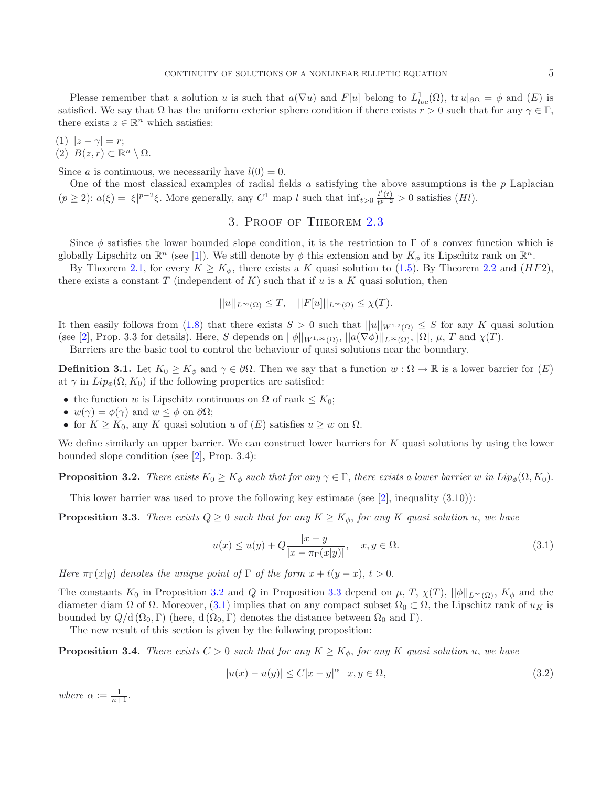Please remember that a solution u is such that  $a(\nabla u)$  and  $F[u]$  belong to  $L^1_{loc}(\Omega)$ , tr  $u|_{\partial\Omega} = \phi$  and  $(E)$  is satisfied. We say that  $\Omega$  has the uniform exterior sphere condition if there exists  $r > 0$  such that for any  $\gamma \in \Gamma$ , there exists  $z \in \mathbb{R}^n$  which satisfies:

$$
(1) |z - \gamma| = r;
$$

(2)  $B(z, r) \subset \mathbb{R}^n \setminus \Omega$ .

Since a is continuous, we necessarily have  $l(0) = 0$ .

<span id="page-4-0"></span>One of the most classical examples of radial fields a satisfying the above assumptions is the  $p$  Laplacian  $(p \ge 2)$ :  $a(\xi) = |\xi|^{p-2}\xi$ . More generally, any  $C^1$  map l such that  $\inf_{t>0} \frac{l'(t)}{t^{p-2}} > 0$  satisfies  $(Hl)$ .

# 3. Proof of Theorem [2.3](#page-3-0)

Since  $\phi$  satisfies the lower bounded slope condition, it is the restriction to  $\Gamma$  of a convex function which is globally Lipschitz on  $\mathbb{R}^n$  (see [\[1](#page-18-6)]). We still denote by  $\phi$  this extension and by  $K_{\phi}$  its Lipschitz rank on  $\mathbb{R}^n$ .

By Theorem [2.1,](#page-2-2) for every  $K \ge K_{\phi}$ , there exists a K quasi solution to [\(1.5\)](#page-1-2). By Theorem [2.2](#page-3-3) and (HF2), there exists a constant T (independent of  $K$ ) such that if u is a K quasi solution, then

<span id="page-4-3"></span><span id="page-4-2"></span>
$$
||u||_{L^{\infty}(\Omega)} \leq T, \quad ||F[u]||_{L^{\infty}(\Omega)} \leq \chi(T).
$$

It then easily follows from [\(1.8\)](#page-2-0) that there exists  $S > 0$  such that  $||u||_{W^{1,2}(\Omega)} \leq S$  for any K quasi solution (see [\[2\]](#page-18-4), Prop. 3.3 for details). Here, S depends on  $||\phi||_{W^{1,\infty}(\Omega)}, ||a(\nabla \phi)||_{L^{\infty}(\Omega)}, |\Omega|, \mu, T$  and  $\chi(T)$ .

Barriers are the basic tool to control the behaviour of quasi solutions near the boundary.

**Definition 3.1.** Let  $K_0 \geq K_\phi$  and  $\gamma \in \partial\Omega$ . Then we say that a function  $w : \Omega \to \mathbb{R}$  is a lower barrier for  $(E)$ at  $\gamma$  in  $Lip_{\phi}(\Omega, K_0)$  if the following properties are satisfied:

- the function w is Lipschitz continuous on  $\Omega$  of rank  $\leq K_0$ ;
- $w(\gamma) = \phi(\gamma)$  and  $w \leq \phi$  on  $\partial\Omega$ ;
- for  $K \geq K_0$ , any K quasi solution u of  $(E)$  satisfies  $u \geq w$  on  $\Omega$ .

<span id="page-4-1"></span>We define similarly an upper barrier. We can construct lower barriers for K quasi solutions by using the lower bounded slope condition (see [\[2](#page-18-4)], Prop. 3.4):

**Proposition 3.2.** *There exists*  $K_0 \geq K_\phi$  *such that for any*  $\gamma \in \Gamma$ , *there exists a lower barrier* w *in*  $Lip_\phi(\Omega, K_0)$ .

This lower barrier was used to prove the following key estimate (see  $[2]$  $[2]$ , inequality  $(3.10)$ ):

**Proposition 3.3.** *There exists*  $Q \geq 0$  *such that for any*  $K \geq K_{\phi}$ , *for any* K *quasi solution* u, we have

<span id="page-4-5"></span>
$$
u(x) \le u(y) + Q \frac{|x - y|}{|x - \pi_{\Gamma}(x|y)|}, \quad x, y \in \Omega.
$$
 (3.1)

*Here*  $\pi_{\Gamma}(x|y)$  *denotes the unique point of*  $\Gamma$  *of the form*  $x + t(y - x)$ ,  $t > 0$ .

The constants  $K_0$  in Proposition [3.2](#page-4-1) and Q in Proposition [3.3](#page-4-2) depend on  $\mu$ ,  $T$ ,  $\chi(T)$ ,  $||\phi||_{L^{\infty}(\Omega)}$ ,  $K_{\phi}$  and the diameter diam  $\Omega$  of  $\Omega$ . Moreover, [\(3.1\)](#page-4-3) implies that on any compact subset  $\Omega_0 \subset \Omega$ , the Lipschitz rank of  $u_K$  is bounded by  $Q/d$  ( $\Omega_0$ , Γ) (here,  $d$  ( $\Omega_0$ , Γ) denotes the distance between  $\Omega_0$  and Γ).

The new result of this section is given by the following proposition:

<span id="page-4-4"></span>**Proposition 3.4.** *There exists*  $C > 0$  *such that for any*  $K \geq K_{\phi}$ , *for any* K *quasi solution* u, we have

$$
|u(x) - u(y)| \le C|x - y|^{\alpha} \quad x, y \in \Omega,
$$
\n(3.2)

where  $\alpha := \frac{1}{n+1}$ .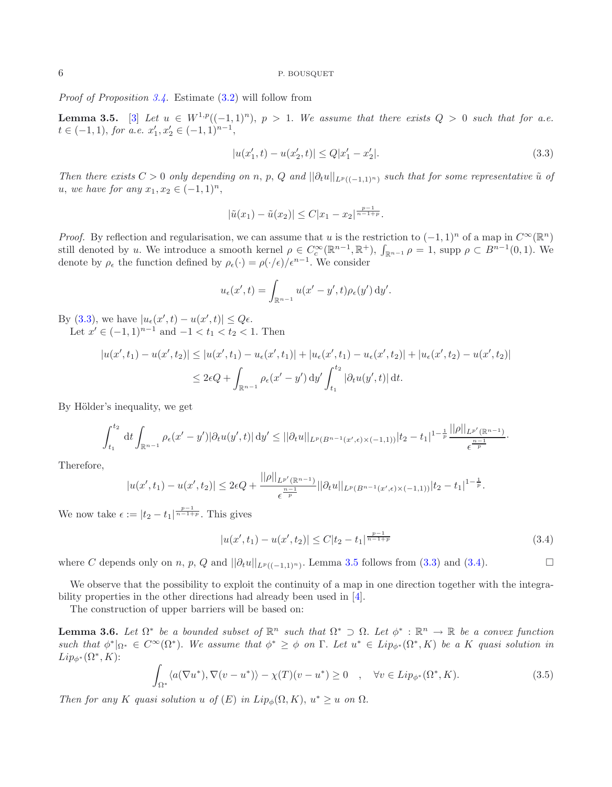<span id="page-5-0"></span>*Proof of Proposition [3.4.](#page-4-4)* Estimate [\(3.2\)](#page-4-5) will follow from

**Lemma 3.5.** [\[3\]](#page-18-8) Let  $u \in W^{1,p}((-1,1)^n)$ ,  $p > 1$ . We assume that there exists  $Q > 0$  such that for a.e.  $t \in (-1,1)$ , for a.e.  $x'_1, x'_2 \in (-1,1)^{n-1}$ ,

<span id="page-5-1"></span>
$$
|u(x'_1, t) - u(x'_2, t)| \le Q|x'_1 - x'_2|.
$$
\n(3.3)

*Then there exists*  $C > 0$  *only depending on* n, p, Q and  $||\partial_t u||_{L^p((-1,1)^n)}$  *such that for some representative*  $\tilde{u}$  *of u*, *we have for any*  $x_1, x_2 \in (-1, 1)^n$ ,

$$
|\tilde{u}(x_1) - \tilde{u}(x_2)| \leq C|x_1 - x_2|^{\frac{p-1}{n-1+p}}.
$$

*Proof.* By reflection and regularisation, we can assume that u is the restriction to  $(-1, 1)^n$  of a map in  $C^{\infty}(\mathbb{R}^n)$ still denoted by u. We introduce a smooth kernel  $\rho \in C_c^{\infty}(\mathbb{R}^{n-1}, \mathbb{R}^+)$ ,  $\int_{\mathbb{R}^{n-1}} \rho = 1$ , supp  $\rho \subset B^{n-1}(0, 1)$ . We denote by  $\rho_{\epsilon}$  the function defined by  $\rho_{\epsilon}(\cdot) = \rho(\cdot/\epsilon)/\epsilon^{n-1}$ . We consider

$$
u_{\epsilon}(x',t) = \int_{\mathbb{R}^{n-1}} u(x'-y',t)\rho_{\epsilon}(y') \,dy'.
$$

By [\(3.3\)](#page-5-0), we have  $|u_{\epsilon}(x',t) - u(x',t)| \leq Q\epsilon$ . Let  $x' \in (-1,1)^{n-1}$  and  $-1 < t_1 < t_2 < 1$ . Then

<span id="page-5-2"></span>
$$
|u(x',t_1) - u(x',t_2)| \le |u(x',t_1) - u_{\epsilon}(x',t_1)| + |u_{\epsilon}(x',t_1) - u_{\epsilon}(x',t_2)| + |u_{\epsilon}(x',t_2) - u(x',t_2)|
$$
  

$$
\le 2\epsilon Q + \int_{\mathbb{R}^{n-1}} \rho_{\epsilon}(x'-y') \, dy' \int_{t_1}^{t_2} |\partial_t u(y',t)| \, dt.
$$

By Hölder's inequality, we get

$$
\int_{t_1}^{t_2} dt \int_{\mathbb{R}^{n-1}} \rho_{\epsilon}(x'-y') |\partial_t u(y',t)| dy' \leq ||\partial_t u||_{L^p(B^{n-1}(x',\epsilon)\times(-1,1))} |t_2-t_1|^{1-\frac{1}{p}} \frac{||\rho||_{L^{p'}(\mathbb{R}^{n-1})}}{\epsilon^{\frac{n-1}{p}}}.
$$

Therefore,

$$
|u(x',t_1)-u(x',t_2)|\leq 2\epsilon Q+\frac{||\rho||_{L^{p'}(\mathbb{R}^{n-1})}}{\epsilon^{\frac{n-1}{p}}}||\partial_t u||_{L^p(B^{n-1}(x',\epsilon)\times(-1,1))}|t_2-t_1|^{1-\frac{1}{p}}.
$$

<span id="page-5-3"></span>We now take  $\epsilon := |t_2 - t_1|^{\frac{p-1}{n-1+p}}$ . This gives

$$
|u(x',t_1) - u(x',t_2)| \le C|t_2 - t_1|^{\frac{p-1}{n-1+p}}
$$
\n(3.4)

where C depends only on n, p, Q and  $||\partial_t u||_{L^p((-1,1)^n)}$ . Lemma [3.5](#page-5-1) follows from [\(3.3\)](#page-5-0) and [\(3.4\)](#page-5-2).  $\Box$ 

We observe that the possibility to exploit the continuity of a map in one direction together with the integrability properties in the other directions had already been used in [\[4](#page-18-7)].

The construction of upper barriers will be based on:

<span id="page-5-4"></span>**Lemma 3.6.** *Let*  $\Omega^*$  *be a bounded subset of*  $\mathbb{R}^n$  *such that*  $\Omega^* \supset \Omega$ . *Let*  $\phi^* : \mathbb{R}^n \to \mathbb{R}$  *be a convex function such that*  $\phi^*|_{\Omega^*} \in C^\infty(\Omega^*)$ . We assume that  $\phi^* \geq \phi$  on  $\Gamma$ . Let  $u^* \in Lip_{\phi^*}(\Omega^*, K)$  be a K quasi solution in  $Lip_{\phi^*}(\Omega^*, K)$ :

$$
\int_{\Omega^*} \langle a(\nabla u^*), \nabla (v - u^*) \rangle - \chi(T)(v - u^*) \ge 0 \quad , \quad \forall v \in Lip_{\phi^*}(\Omega^*, K). \tag{3.5}
$$

*Then for any* K *quasi solution* u *of*  $(E)$  *in*  $Lip_{\phi}(\Omega, K)$ ,  $u^* \geq u$  *on*  $\Omega$ .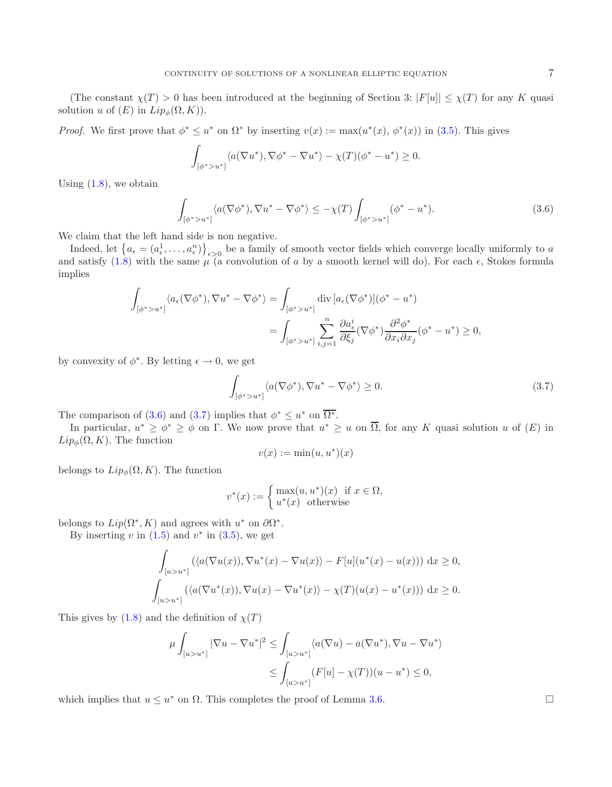<span id="page-6-0"></span>(The constant  $\chi(T) > 0$  has been introduced at the beginning of Section 3:  $|F[u]| \leq \chi(T)$  for any K quasi solution u of  $(E)$  in  $Lip_{\phi}(\Omega, K)$ .

*Proof.* We first prove that  $\phi^* \leq u^*$  on  $\Omega^*$  by inserting  $v(x) := \max(u^*(x), \phi^*(x))$  in [\(3.5\)](#page-5-3). This gives

$$
\int_{[\phi^*>u^*]} \langle a(\nabla u^*), \nabla \phi^* - \nabla u^* \rangle - \chi(T)(\phi^*-u^*) \ge 0.
$$

Using  $(1.8)$ , we obtain

<span id="page-6-1"></span>
$$
\int_{\left[\phi^* > u^*\right]} \langle a(\nabla \phi^*), \nabla u^* - \nabla \phi^* \rangle \le -\chi(T) \int_{\left[\phi^* > u^*\right]} (\phi^* - u^*). \tag{3.6}
$$

We claim that the left hand side is non negative.

Indeed, let  $\{a_{\epsilon} = (a_{\epsilon}^1, \ldots, a_{\epsilon}^n)\}_{{\epsilon} > 0}$  be a family of smooth vector fields which converge locally uniformly to a and satisfy [\(1.8\)](#page-2-0) with the same  $\mu$  (a convolution of a by a smooth kernel will do). For each  $\epsilon$ , Stokes formula implies

$$
\int_{\left[\phi^* > u^*\right]} \langle a_\epsilon(\nabla \phi^*), \nabla u^* - \nabla \phi^* \rangle = \int_{\left[\phi^* > u^*\right]} \operatorname{div}\left[a_\epsilon(\nabla \phi^*)\right] (\phi^* - u^*)
$$
\n
$$
= \int_{\left[\phi^* > u^*\right]} \sum_{i,j=1}^n \frac{\partial a_\epsilon^i}{\partial \xi_j} (\nabla \phi^*) \frac{\partial^2 \phi^*}{\partial x_i \partial x_j} (\phi^* - u^*) \ge 0,
$$

by convexity of  $\phi^*$ . By letting  $\epsilon \to 0$ , we get

$$
\int_{\left[\phi^* > u^*\right]} \langle a(\nabla \phi^*), \nabla u^* - \nabla \phi^* \rangle \ge 0. \tag{3.7}
$$

The comparison of [\(3.6\)](#page-6-0) and [\(3.7\)](#page-6-1) implies that  $\phi^* \leq u^*$  on  $\overline{\Omega^*}$ .

In particular,  $u^* \geq \phi^* \geq \phi$  on  $\Gamma$ . We now prove that  $u^* \geq u$  on  $\overline{\Omega}$ , for any K quasi solution u of  $(E)$  in  $Lip_{\phi}(\Omega, K)$ . The function

$$
v(x) := \min(u, u^*)(x)
$$

belongs to  $Lip_{\phi}(\Omega, K)$ . The function

$$
v^*(x) := \begin{cases} \max(u, u^*)(x) & \text{if } x \in \Omega, \\ u^*(x) & \text{otherwise} \end{cases}
$$

belongs to  $Lip(\Omega^*, K)$  and agrees with  $u^*$  on  $\partial \Omega^*$ .

By inserting v in  $(1.5)$  and  $v^*$  in  $(3.5)$ , we get

$$
\int_{[u>u^*]} (\langle a(\nabla u(x)), \nabla u^*(x) - \nabla u(x) \rangle - F[u](u^*(x) - u(x))) dx \ge 0,
$$
  

$$
\int_{[u>u^*]} (\langle a(\nabla u^*(x)), \nabla u(x) - \nabla u^*(x) \rangle - \chi(T)(u(x) - u^*(x))) dx \ge 0.
$$

This gives by  $(1.8)$  and the definition of  $\chi(T)$ 

$$
\mu \int_{[u>u^*]} |\nabla u - \nabla u^*|^2 \le \int_{[u>u^*]} \langle a(\nabla u) - a(\nabla u^*), \nabla u - \nabla u^* \rangle
$$
  

$$
\le \int_{[u>u^*]} (F[u] - \chi(T))(u - u^*) \le 0,
$$

which implies that  $u \leq u^*$  on  $\Omega$ . This completes the proof of Lemma [3.6.](#page-5-4)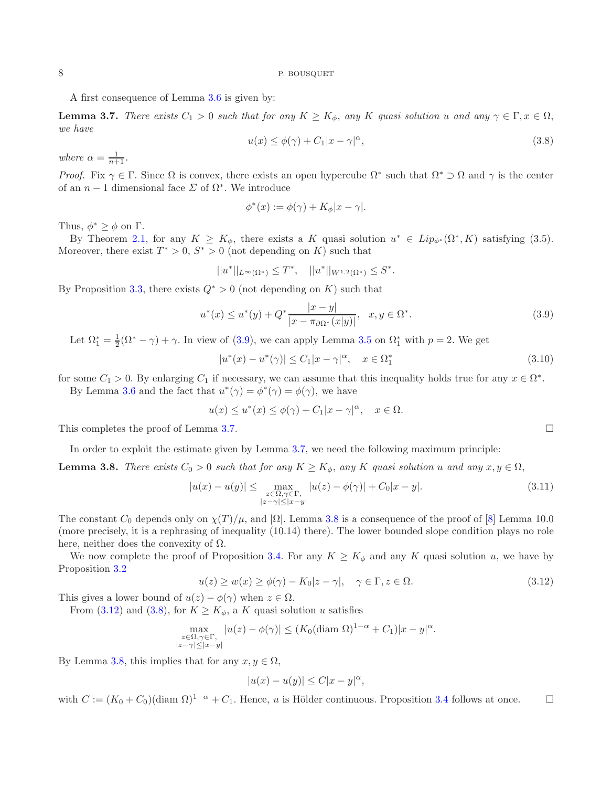<span id="page-7-4"></span>A first consequence of Lemma [3.6](#page-5-4) is given by:

<span id="page-7-1"></span>**Lemma 3.7.** *There exists*  $C_1 > 0$  *such that for any*  $K \geq K_{\phi}$ , *any* K *quasi solution* u *and any*  $\gamma \in \Gamma, x \in \Omega$ , *we have*

<span id="page-7-0"></span>
$$
u(x) \le \phi(\gamma) + C_1 |x - \gamma|^{\alpha}, \tag{3.8}
$$

where  $\alpha = \frac{1}{n+1}$ .

*Proof.* Fix  $\gamma \in \Gamma$ . Since  $\Omega$  is convex, there exists an open hypercube  $\Omega^*$  such that  $\Omega^* \supset \Omega$  and  $\gamma$  is the center of an  $n-1$  dimensional face  $\Sigma$  of  $\Omega^*$ . We introduce

$$
\phi^*(x) := \phi(\gamma) + K_{\phi}|x - \gamma|.
$$

Thus,  $\phi^* \geq \phi$  on  $\Gamma$ .

By Theorem [2.1,](#page-2-2) for any  $K \geq K_{\phi}$ , there exists a K quasi solution  $u^* \in Lip_{\phi^*}(\Omega^*, K)$  satisfying (3.5). Moreover, there exist  $T^* > 0$ ,  $S^* > 0$  (not depending on K) such that

$$
||u^*||_{L^{\infty}(\Omega^*)} \leq T^*, \quad ||u^*||_{W^{1,2}(\Omega^*)} \leq S^*.
$$

By Proposition [3.3,](#page-4-2) there exists  $Q^* > 0$  (not depending on K) such that

$$
u^*(x) \le u^*(y) + Q^* \frac{|x - y|}{|x - \pi_{\partial \Omega^*}(x|y)|}, \quad x, y \in \Omega^*.
$$
\n(3.9)

Let  $\Omega_1^* = \frac{1}{2}(\Omega^* - \gamma) + \gamma$ . In view of [\(3.9\)](#page-7-0), we can apply Lemma [3.5](#page-5-1) on  $\Omega_1^*$  with  $p = 2$ . We get

$$
|u^*(x) - u^*(\gamma)| \le C_1 |x - \gamma|^{\alpha}, \quad x \in \Omega_1^*
$$
\n(3.10)

for some  $C_1 > 0$ . By enlarging  $C_1$  if necessary, we can assume that this inequality holds true for any  $x \in \Omega^*$ .

By Lemma [3.6](#page-5-4) and the fact that  $u^*(\gamma) = \phi^*(\gamma) = \phi(\gamma)$ , we have

$$
u(x) \le u^*(x) \le \phi(\gamma) + C_1|x - \gamma|^\alpha, \quad x \in \Omega.
$$

<span id="page-7-3"></span>This completes the proof of Lemma [3.7.](#page-7-1)

In order to exploit the estimate given by Lemma [3.7,](#page-7-1) we need the following maximum principle:

<span id="page-7-2"></span>**Lemma 3.8.** *There exists*  $C_0 > 0$  *such that for any*  $K \geq K_\phi$ , any K *quasi solution* u and any  $x, y \in \Omega$ ,

$$
|u(x) - u(y)| \le \max_{\substack{z \in \Omega, \gamma \in \Gamma, \\|z - \gamma| \le |x - y|}} |u(z) - \phi(\gamma)| + C_0 |x - y|.
$$
 (3.11)

The constant  $C_0$  depends only on  $\chi(T)/\mu$ , and  $|\Omega|$ . Lemma [3.8](#page-7-2) is a consequence of the proof of [\[8\]](#page-18-0) Lemma 10.0 (more precisely, it is a rephrasing of inequality (10.14) there). The lower bounded slope condition plays no role here, neither does the convexity of  $\Omega$ .

We now complete the proof of Proposition [3.4.](#page-4-4) For any  $K \geq K_{\phi}$  and any K quasi solution u, we have by Proposition [3.2](#page-4-1)

$$
u(z) \ge w(x) \ge \phi(\gamma) - K_0 |z - \gamma|, \quad \gamma \in \Gamma, z \in \Omega.
$$
\n(3.12)

This gives a lower bound of  $u(z) - \phi(\gamma)$  when  $z \in \Omega$ .

From [\(3.12\)](#page-7-3) and [\(3.8\)](#page-7-4), for  $K \geq K_{\phi}$ , a K quasi solution u satisfies

$$
\max_{\substack{z \in \Omega, \gamma \in \Gamma, \\ |z - \gamma| \le |x - y|}} |u(z) - \phi(\gamma)| \le (K_0 (\text{diam } \Omega)^{1 - \alpha} + C_1) |x - y|^{\alpha}.
$$

By Lemma [3.8,](#page-7-2) this implies that for any  $x, y \in \Omega$ ,

$$
|u(x) - u(y)| \le C|x - y|^{\alpha},
$$

with  $C := (K_0 + C_0)(\text{diam }\Omega)^{1-\alpha} + C_1$ . Hence, u is Hölder continuous. Proposition [3.4](#page-4-4) follows at once.

 $\Box$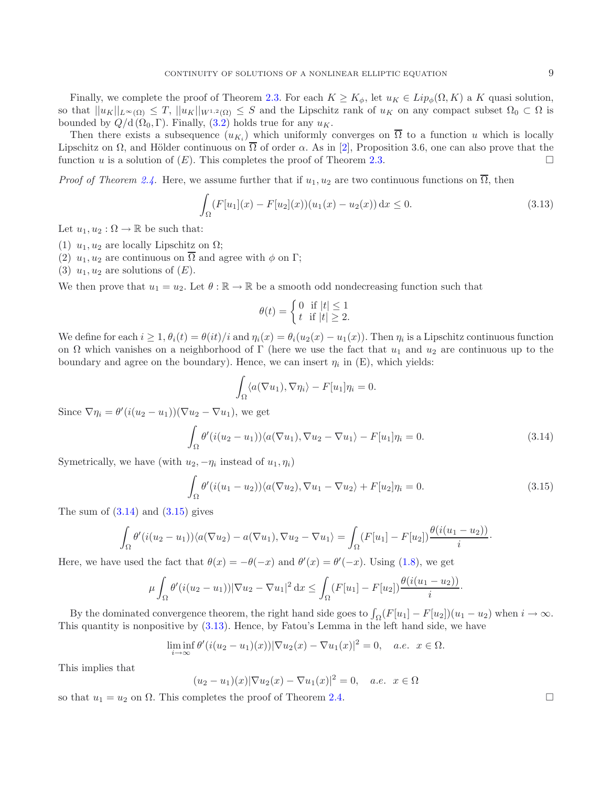Finally, we complete the proof of Theorem [2.3.](#page-3-0) For each  $K \geq K_{\phi}$ , let  $u_K \in Lip_{\phi}(\Omega, K)$  a K quasi solution, so that  $||u_K||_{L^{\infty}(\Omega)} \leq T$ ,  $||u_K||_{W^{1,2}(\Omega)} \leq S$  and the Lipschitz rank of  $u_K$  on any compact subset  $\Omega_0 \subset \Omega$  is bounded by  $Q/d$  ( $\Omega_0$ , Γ). Finally, [\(3.2\)](#page-4-5) holds true for any  $u_K$ .

Then there exists a subsequence  $(u_K)$  which uniformly converges on  $\overline{\Omega}$  to a function u which is locally Lipschitz on  $\Omega$ , and Hölder continuous on  $\overline{\Omega}$  of order  $\alpha$ . As in [\[2\]](#page-18-4), Proposition 3.6, one can also prove that the function u is a solution of  $(E)$ . This completes the proof of Theorem [2.3.](#page-3-0)

*Proof of Theorem [2.4.](#page-3-2)* Here, we assume further that if  $u_1, u_2$  are two continuous functions on  $\overline{\Omega}$ , then

<span id="page-8-2"></span><span id="page-8-0"></span>
$$
\int_{\Omega} (F[u_1](x) - F[u_2](x)) (u_1(x) - u_2(x)) dx \le 0.
$$
\n(3.13)

Let  $u_1, u_2 : \Omega \to \mathbb{R}$  be such that:

- (1)  $u_1, u_2$  are locally Lipschitz on  $\Omega$ ;
- (2)  $u_1, u_2$  are continuous on  $\overline{\Omega}$  and agree with  $\phi$  on  $\Gamma$ ;
- (3)  $u_1, u_2$  are solutions of  $(E)$ .

We then prove that  $u_1 = u_2$ . Let  $\theta : \mathbb{R} \to \mathbb{R}$  be a smooth odd nondecreasing function such that

<span id="page-8-1"></span>
$$
\theta(t) = \begin{cases} 0 & \text{if } |t| \le 1 \\ t & \text{if } |t| \ge 2. \end{cases}
$$

We define for each  $i \geq 1$ ,  $\theta_i(t) = \theta(it)/i$  and  $\eta_i(x) = \theta_i(u_2(x) - u_1(x))$ . Then  $\eta_i$  is a Lipschitz continuous function on  $\Omega$  which vanishes on a neighborhood of  $\Gamma$  (here we use the fact that  $u_1$  and  $u_2$  are continuous up to the boundary and agree on the boundary). Hence, we can insert  $\eta_i$  in (E), which yields:

$$
\int_{\Omega} \langle a(\nabla u_1), \nabla \eta_i \rangle - F[u_1] \eta_i = 0.
$$

Since  $\nabla \eta_i = \theta'(i(u_2 - u_1))(\nabla u_2 - \nabla u_1)$ , we get

$$
\int_{\Omega} \theta'(i(u_2 - u_1)) \langle a(\nabla u_1), \nabla u_2 - \nabla u_1 \rangle - F[u_1] \eta_i = 0. \tag{3.14}
$$

Symetrically, we have (with  $u_2, -\eta_i$  instead of  $u_1, \eta_i$ )

$$
\int_{\Omega} \theta'(i(u_1 - u_2)) \langle a(\nabla u_2), \nabla u_1 - \nabla u_2 \rangle + F[u_2] \eta_i = 0. \tag{3.15}
$$

The sum of  $(3.14)$  and  $(3.15)$  gives

$$
\int_{\Omega} \theta'(i(u_2 - u_1)) \langle a(\nabla u_2) - a(\nabla u_1), \nabla u_2 - \nabla u_1 \rangle = \int_{\Omega} (F[u_1] - F[u_2]) \frac{\theta(i(u_1 - u_2))}{i}.
$$

Here, we have used the fact that  $\theta(x) = -\theta(-x)$  and  $\theta'(x) = \theta'(-x)$ . Using [\(1.8\)](#page-2-0), we get

$$
\mu \int_{\Omega} \theta'(i(u_2 - u_1)) |\nabla u_2 - \nabla u_1|^2 dx \leq \int_{\Omega} (F[u_1] - F[u_2]) \frac{\theta(i(u_1 - u_2))}{i} dx.
$$

By the dominated convergence theorem, the right hand side goes to  $\int_{\Omega}(F[u_1] - F[u_2])(u_1 - u_2)$  when  $i \to \infty$ . This quantity is nonpositive by [\(3.13\)](#page-8-2). Hence, by Fatou's Lemma in the left hand side, we have

$$
\liminf_{i \to \infty} \theta'(i(u_2 - u_1)(x))|\nabla u_2(x) - \nabla u_1(x)|^2 = 0, \quad a.e. \quad x \in \Omega.
$$

This implies that

$$
(u_2 - u_1)(x)|\nabla u_2(x) - \nabla u_1(x)|^2 = 0, \quad a.e. \ \ x \in \Omega
$$

so that  $u_1 = u_2$  on  $\Omega$ . This completes the proof of Theorem [2.4.](#page-3-2)  $\Box$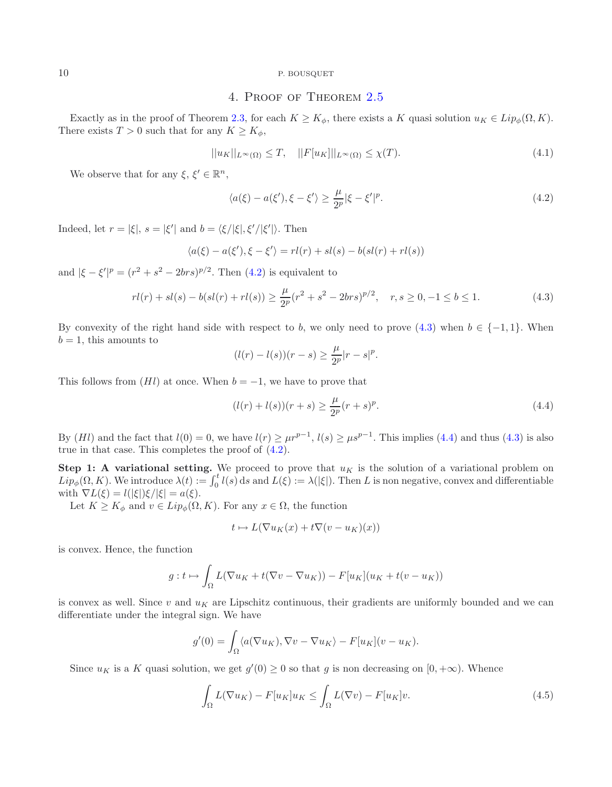# <span id="page-9-4"></span><span id="page-9-1"></span><span id="page-9-0"></span>4. Proof of Theorem [2.5](#page-3-1)

Exactly as in the proof of Theorem [2.3,](#page-3-0) for each  $K \geq K_{\phi}$ , there exists a K quasi solution  $u_K \in Lip_{\phi}(\Omega, K)$ . There exists  $T > 0$  such that for any  $K \geq K_{\phi}$ ,

$$
||u_K||_{L^{\infty}(\Omega)} \leq T, \quad ||F[u_K]||_{L^{\infty}(\Omega)} \leq \chi(T). \tag{4.1}
$$

We observe that for any  $\xi, \xi' \in \mathbb{R}^n$ ,

<span id="page-9-2"></span>
$$
\langle a(\xi) - a(\xi'), \xi - \xi' \rangle \ge \frac{\mu}{2^p} |\xi - \xi'|^p. \tag{4.2}
$$

Indeed, let  $r = |\xi|$ ,  $s = |\xi'|$  and  $b = \langle \xi/|\xi|, \xi'/|\xi'| \rangle$ . Then

$$
\langle a(\xi) - a(\xi'), \xi - \xi' \rangle = rl(r) + sl(s) - b(sl(r) + rl(s))
$$

and  $|\xi - \xi'|^p = (r^2 + s^2 - 2brs)^{p/2}$ . Then  $(4.2)$  is equivalent to

$$
rl(r) + sl(s) - b(sl(r) + rl(s)) \ge \frac{\mu}{2^p}(r^2 + s^2 - 2brs)^{p/2}, \quad r, s \ge 0, -1 \le b \le 1.
$$
 (4.3)

By convexity of the right hand side with respect to b, we only need to prove  $(4.3)$  when  $b \in \{-1, 1\}$ . When  $b = 1$ , this amounts to

$$
(l(r) - l(s))(r - s) \ge \frac{\mu}{2^p}|r - s|^p.
$$

This follows from  $(Hl)$  at once. When  $b = -1$ , we have to prove that

$$
(l(r) + l(s))(r + s) \ge \frac{\mu}{2^p}(r + s)^p.
$$
\n(4.4)

By  $(Hl)$  and the fact that  $l(0) = 0$ , we have  $l(r) \geq \mu r^{p-1}$ ,  $l(s) \geq \mu s^{p-1}$ . This implies [\(4.4\)](#page-9-2) and thus [\(4.3\)](#page-9-1) is also true in that case. This completes the proof of [\(4.2\)](#page-9-0).

**Step 1: A variational setting.** We proceed to prove that  $u_K$  is the solution of a variational problem on  $Lip_{\phi}(\Omega, K)$ . We introduce  $\lambda(t) := \int_0^t l(s) ds$  and  $L(\xi) := \lambda(|\xi|)$ . Then L is non negative, convex and differentiable with  $\nabla L(\xi) = l(|\xi|)\xi/|\xi| = a(\xi)$ .

Let  $K \geq K_{\phi}$  and  $v \in Lip_{\phi}(\Omega, K)$ . For any  $x \in \Omega$ , the function

<span id="page-9-3"></span>
$$
t \mapsto L(\nabla u_K(x) + t\nabla (v - u_K)(x))
$$

is convex. Hence, the function

$$
g: t \mapsto \int_{\Omega} L(\nabla u_K + t(\nabla v - \nabla u_K)) - F[u_K](u_K + t(v - u_K))
$$

is convex as well. Since  $v$  and  $u<sub>K</sub>$  are Lipschitz continuous, their gradients are uniformly bounded and we can differentiate under the integral sign. We have

$$
g'(0) = \int_{\Omega} \langle a(\nabla u_K), \nabla v - \nabla u_K \rangle - F[u_K](v - u_K).
$$

Since  $u_K$  is a K quasi solution, we get  $g'(0) \geq 0$  so that g is non decreasing on  $[0, +\infty)$ . Whence

$$
\int_{\Omega} L(\nabla u_K) - F[u_K]u_K \le \int_{\Omega} L(\nabla v) - F[u_K]v.
$$
\n(4.5)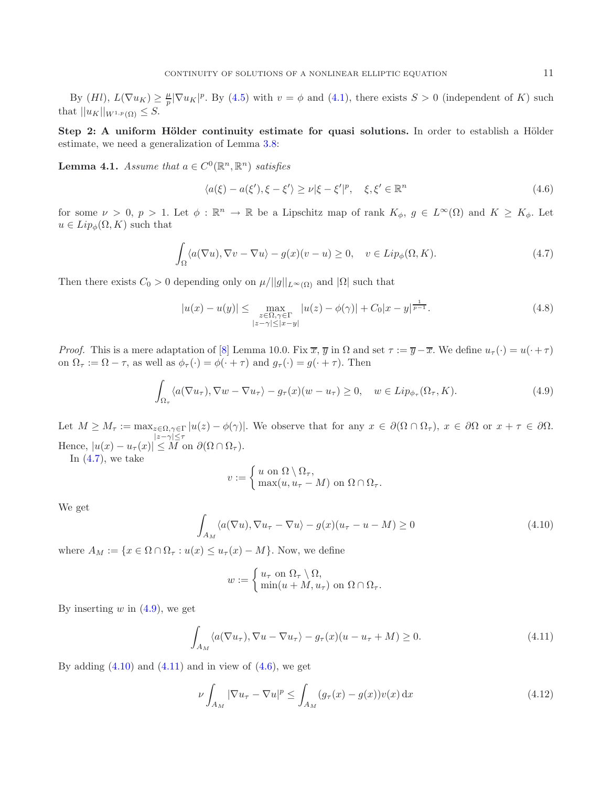<span id="page-10-0"></span>By  $(Hl)$ ,  $L(\nabla u_K) \geq \frac{\mu}{p} |\nabla u_K|^p$ . By [\(4.5\)](#page-9-3) with  $v = \phi$  and [\(4.1\)](#page-9-4), there exists  $S > 0$  (independent of K) such that  $||u_K||_{W^{1,p}(\Omega)} \leq S$ .

<span id="page-10-6"></span>**Step 2: A uniform Hölder continuity estimate for quasi solutions.** In order to establish a Hölder estimate, we need a generalization of Lemma [3.8:](#page-7-2)

**Lemma 4.1.** *Assume that*  $a \in C^0(\mathbb{R}^n, \mathbb{R}^n)$  *satisfies* 

<span id="page-10-4"></span><span id="page-10-1"></span>
$$
\langle a(\xi) - a(\xi'), \xi - \xi' \rangle \ge \nu |\xi - \xi'|^p, \quad \xi, \xi' \in \mathbb{R}^n
$$
\n(4.6)

for some  $\nu > 0$ ,  $p > 1$ . Let  $\phi : \mathbb{R}^n \to \mathbb{R}$  be a Lipschitz map of rank  $K_{\phi}$ ,  $g \in L^{\infty}(\Omega)$  and  $K \geq K_{\phi}$ . Let  $u \in Lip_{\phi}(\Omega, K)$  such that

$$
\int_{\Omega} \langle a(\nabla u), \nabla v - \nabla u \rangle - g(x)(v - u) \ge 0, \quad v \in Lip_{\phi}(\Omega, K). \tag{4.7}
$$

Then there exists  $C_0 > 0$  depending only on  $\mu/||g||_{L^{\infty}(\Omega)}$  and  $|\Omega|$  such that

$$
|u(x) - u(y)| \le \max_{\substack{z \in \Omega, \gamma \in \Gamma \\ |z - \gamma| \le |x - y|}} |u(z) - \phi(\gamma)| + C_0 |x - y|^{\frac{1}{p - 1}}.
$$
 (4.8)

<span id="page-10-2"></span>*Proof.* This is a mere adaptation of [\[8\]](#page-18-0) Lemma 10.0. Fix  $\overline{x}$ ,  $\overline{y}$  in  $\Omega$  and set  $\tau := \overline{y} - \overline{x}$ . We define  $u_{\tau}(\cdot) = u(\cdot + \tau)$ on  $\Omega_{\tau} := \Omega - \tau$ , as well as  $\phi_{\tau}(\cdot) = \phi(\cdot + \tau)$  and  $g_{\tau}(\cdot) = g(\cdot + \tau)$ . Then

$$
\int_{\Omega_{\tau}} \langle a(\nabla u_{\tau}), \nabla w - \nabla u_{\tau} \rangle - g_{\tau}(x)(w - u_{\tau}) \ge 0, \quad w \in Lip_{\phi_{\tau}}(\Omega_{\tau}, K). \tag{4.9}
$$

Let  $M \geq M_{\tau} := \max_{z \in \Omega, \gamma \in \Gamma} |u(z) - \phi(\gamma)|$ . We observe that for any  $x \in \partial(\Omega \cap \Omega_{\tau}), x \in \partial\Omega$  or  $x + \tau \in \partial\Omega$ . Hence,  $|u(x) - u_{\tau}(x)| \leq M$  on  $\partial(\Omega \cap \Omega_{\tau})$ .

<span id="page-10-3"></span>In  $(4.7)$ , we take

<span id="page-10-5"></span>
$$
v := \begin{cases} u & \text{on } \Omega \setminus \Omega_{\tau}, \\ \max(u, u_{\tau} - M) & \text{on } \Omega \cap \Omega_{\tau}. \end{cases}
$$

We get

$$
\int_{A_M} \langle a(\nabla u), \nabla u_\tau - \nabla u \rangle - g(x)(u_\tau - u - M) \ge 0 \tag{4.10}
$$

where  $A_M := \{x \in \Omega \cap \Omega_\tau : u(x) \leq u_\tau(x) - M\}$ . Now, we define

$$
w := \begin{cases} u_{\tau} & \text{on } \Omega_{\tau} \setminus \Omega, \\ \min(u + M, u_{\tau}) & \text{on } \Omega \cap \Omega_{\tau}. \end{cases}
$$

By inserting  $w$  in  $(4.9)$ , we get

$$
\int_{A_M} \langle a(\nabla u_\tau), \nabla u - \nabla u_\tau \rangle - g_\tau(x)(u - u_\tau + M) \ge 0.
$$
\n(4.11)

By adding  $(4.10)$  and  $(4.11)$  and in view of  $(4.6)$ , we get

$$
\nu \int_{A_M} |\nabla u_\tau - \nabla u|^p \le \int_{A_M} (g_\tau(x) - g(x)) v(x) \, \mathrm{d}x \tag{4.12}
$$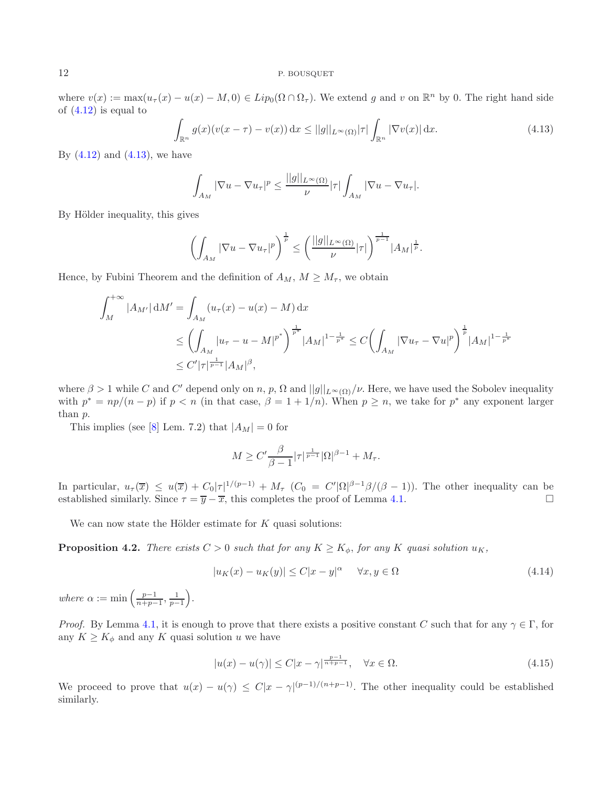<span id="page-11-0"></span>where  $v(x) := \max(u_\tau(x) - u(x) - M, 0) \in Lip_0(\Omega \cap \Omega_\tau)$ . We extend g and v on  $\mathbb{R}^n$  by 0. The right hand side of  $(4.12)$  is equal to

$$
\int_{\mathbb{R}^n} g(x)(v(x-\tau) - v(x)) \, \mathrm{d}x \le ||g||_{L^\infty(\Omega)} |\tau| \int_{\mathbb{R}^n} |\nabla v(x)| \, \mathrm{d}x. \tag{4.13}
$$

By  $(4.12)$  and  $(4.13)$ , we have

$$
\int_{A_M} |\nabla u - \nabla u_\tau|^p \le \frac{||g||_{L^\infty(\Omega)}}{\nu} |\tau| \int_{A_M} |\nabla u - \nabla u_\tau|.
$$

By Hölder inequality, this gives

$$
\left(\int_{A_M} |\nabla u - \nabla u_\tau|^p\right)^{\frac{1}{p}} \le \left(\frac{||g||_{L^\infty(\Omega)}}{\nu}|\tau|\right)^{\frac{1}{p-1}} |A_M|^{\frac{1}{p}}.
$$

Hence, by Fubini Theorem and the definition of  $A_M$ ,  $M \geq M_{\tau}$ , we obtain

$$
\int_{M}^{+\infty} |A_{M'}| \, \mathrm{d}M' = \int_{A_{M}} (u_{\tau}(x) - u(x) - M) \, \mathrm{d}x
$$
\n
$$
\leq \left( \int_{A_{M}} |u_{\tau} - u - M|^{p^{*}} \right)^{\frac{1}{p^{*}}} |A_{M}|^{1 - \frac{1}{p^{*}}} \leq C \left( \int_{A_{M}} |\nabla u_{\tau} - \nabla u|^{p} \right)^{\frac{1}{p}} |A_{M}|^{1 - \frac{1}{p^{*}}}
$$
\n
$$
\leq C' |\tau|^{\frac{1}{p-1}} |A_{M}|^{\beta},
$$

where  $\beta > 1$  while C and C' depend only on n, p,  $\Omega$  and  $||g||_{L^{\infty}(\Omega)}/\nu$ . Here, we have used the Sobolev inequality with  $p^* = np/(n - p)$  if  $p < n$  (in that case,  $\beta = 1 + 1/n$ ). When  $p \ge n$ , we take for  $p^*$  any exponent larger than p.

This implies (see [\[8](#page-18-0)] Lem. 7.2) that  $|A_M| = 0$  for

<span id="page-11-2"></span>
$$
M \ge C' \frac{\beta}{\beta - 1} |\tau|^{\frac{1}{p-1}} |\Omega|^{\beta - 1} + M_{\tau}.
$$

In particular,  $u_{\tau}(\overline{x}) \leq u(\overline{x}) + C_0 |\tau|^{1/(p-1)} + M_{\tau}$   $(C_0 = C' |\Omega|^{\beta-1} \beta/(\beta-1))$ . The other inequality can be established similarly. Since  $\tau = \overline{y} - \overline{x}$ , this completes the proof of Lemma [4.1.](#page-10-6)  $\Box$ 

We can now state the Hölder estimate for  $K$  quasi solutions:

<span id="page-11-1"></span>**Proposition 4.2.** *There exists*  $C > 0$  *such that for any*  $K \geq K_{\phi}$ *, for any* K *quasi solution*  $u_K$ *,* 

$$
|u_K(x) - u_K(y)| \le C|x - y|^{\alpha} \quad \forall x, y \in \Omega
$$
\n(4.14)

where  $\alpha := \min\left(\frac{p-1}{n+p-1}, \frac{1}{p-1}\right)$ .

*Proof.* By Lemma [4.1,](#page-10-6) it is enough to prove that there exists a positive constant C such that for any  $\gamma \in \Gamma$ , for any  $K \geq K_{\phi}$  and any K quasi solution u we have

$$
|u(x) - u(\gamma)| \le C|x - \gamma|^{\frac{p-1}{n+p-1}}, \quad \forall x \in \Omega.
$$
\n
$$
(4.15)
$$

We proceed to prove that  $u(x) - u(\gamma) \leq C|x - \gamma|^{(p-1)/(n+p-1)}$ . The other inequality could be established similarly.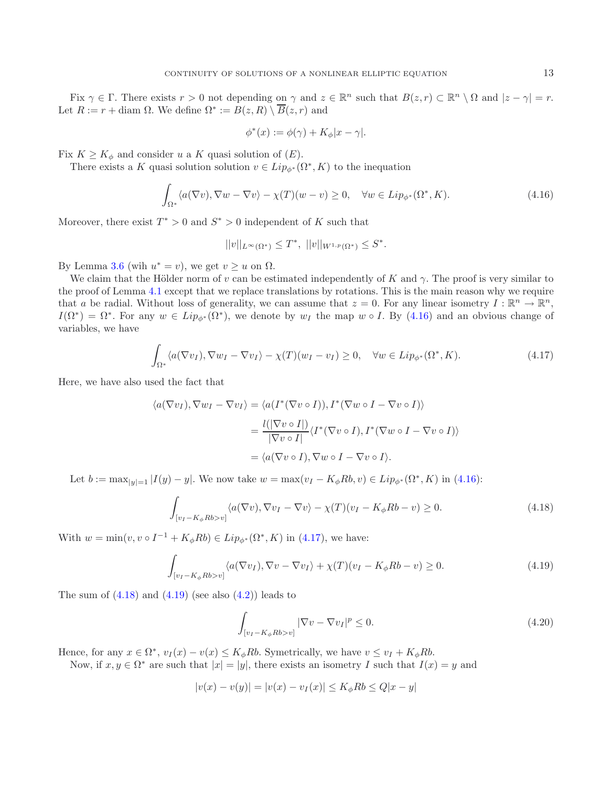Fix  $\gamma \in \Gamma$ . There exists  $r > 0$  not depending on  $\gamma$  and  $z \in \mathbb{R}^n$  such that  $B(z, r) \subset \mathbb{R}^n \setminus \Omega$  and  $|z - \gamma| = r$ . Let  $R := r + \text{diam }\Omega$ . We define  $\Omega^* := B(z, R) \setminus \overline{B}(z, r)$  and

<span id="page-12-0"></span>
$$
\phi^*(x) := \phi(\gamma) + K_{\phi}|x - \gamma|.
$$

Fix  $K \geq K_{\phi}$  and consider u a K quasi solution of  $(E)$ .

<span id="page-12-1"></span>There exists a K quasi solution solution  $v \in Lip_{\phi^*}(\Omega^*, K)$  to the inequation

$$
\int_{\Omega^*} \langle a(\nabla v), \nabla w - \nabla v \rangle - \chi(T)(w - v) \ge 0, \quad \forall w \in Lip_{\phi^*}(\Omega^*, K). \tag{4.16}
$$

Moreover, there exist  $T^* > 0$  and  $S^* > 0$  independent of K such that

<span id="page-12-2"></span>
$$
||v||_{L^{\infty}(\Omega^*)} \leq T^*, \ ||v||_{W^{1,p}(\Omega^*)} \leq S^*.
$$

By Lemma [3.6](#page-5-4) (wih  $u^* = v$ ), we get  $v \geq u$  on  $\Omega$ .

We claim that the Hölder norm of v can be estimated independently of K and  $\gamma$ . The proof is very similar to the proof of Lemma [4.1](#page-10-6) except that we replace translations by rotations. This is the main reason why we require that a be radial. Without loss of generality, we can assume that  $z = 0$ . For any linear isometry  $I : \mathbb{R}^n \to \mathbb{R}^n$ ,  $I(\Omega^*)=\Omega^*$ . For any  $w \in Lip_{\phi^*}(\Omega^*)$ , we denote by  $w_I$  the map  $w \circ I$ . By [\(4.16\)](#page-12-0) and an obvious change of variables, we have

$$
\int_{\Omega^*} \langle a(\nabla v_I), \nabla w_I - \nabla v_I \rangle - \chi(T)(w_I - v_I) \ge 0, \quad \forall w \in Lip_{\phi^*}(\Omega^*, K). \tag{4.17}
$$

Here, we have also used the fact that

<span id="page-12-3"></span>
$$
\langle a(\nabla v_I), \nabla w_I - \nabla v_I \rangle = \langle a(I^*(\nabla v \circ I)), I^*(\nabla w \circ I - \nabla v \circ I) \rangle
$$
  
= 
$$
\frac{l(|\nabla v \circ I|)}{|\nabla v \circ I|} \langle I^*(\nabla v \circ I), I^*(\nabla w \circ I - \nabla v \circ I) \rangle
$$
  
=  $\langle a(\nabla v \circ I), \nabla w \circ I - \nabla v \circ I \rangle.$ 

Let  $b := \max_{|y|=1} |I(y) - y|$ . We now take  $w = \max(v_I - K_{\phi}Rb, v) \in Lip_{\phi^*}(\Omega^*, K)$  in [\(4.16\)](#page-12-0):

$$
\int_{[v_I - K_{\phi}Rb > v]} \langle a(\nabla v), \nabla v_I - \nabla v \rangle - \chi(T)(v_I - K_{\phi}Rb - v) \ge 0.
$$
\n(4.18)

With  $w = \min(v, v \circ I^{-1} + K_{\phi} R b) \in Lip_{\phi^*}(\Omega^*, K)$  in [\(4.17\)](#page-12-1), we have:

$$
\int_{[v_I - K_\phi R b > v]} \langle a(\nabla v_I), \nabla v - \nabla v_I \rangle + \chi(T)(v_I - K_\phi R b - v) \ge 0.
$$
\n(4.19)

The sum of  $(4.18)$  and  $(4.19)$  (see also  $(4.2)$ ) leads to

$$
\int_{[v_I - K_{\phi} R b > v]} |\nabla v - \nabla v_I|^p \le 0.
$$
\n(4.20)

Hence, for any  $x \in \Omega^*$ ,  $v_I(x) - v(x) \leq K_\phi Rb$ . Symetrically, we have  $v \leq v_I + K_\phi Rb$ .

Now, if  $x, y \in \Omega^*$  are such that  $|x| = |y|$ , there exists an isometry I such that  $I(x) = y$  and

$$
|v(x) - v(y)| = |v(x) - v_I(x)| \le K_\phi R b \le Q|x - y|
$$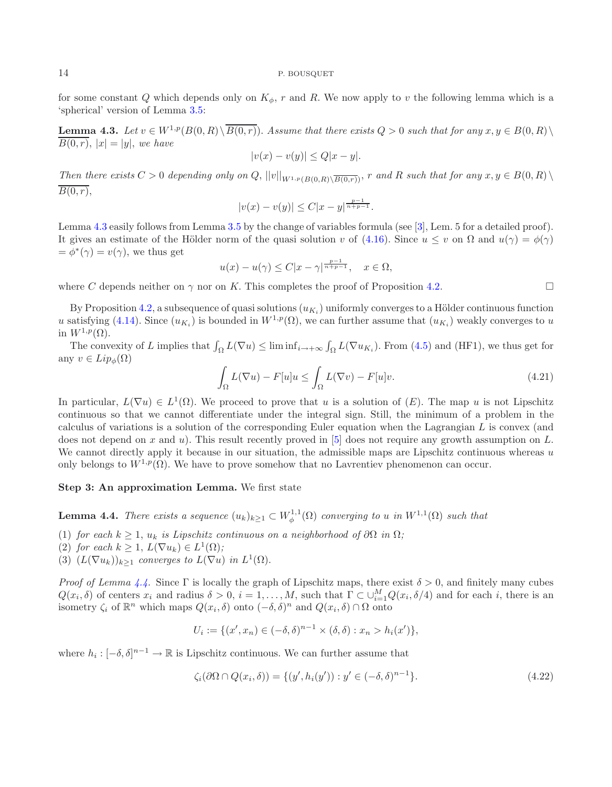<span id="page-13-0"></span>for some constant Q which depends only on  $K_{\phi}$ , r and R. We now apply to v the following lemma which is a 'spherical' version of Lemma [3.5:](#page-5-1)

**Lemma 4.3.** *Let*  $v \in W^{1,p}(B(0,R) \setminus \overline{B(0,r)})$ . *Assume that there exists*  $Q > 0$  *such that for any*  $x, y \in B(0,R) \setminus \overline{B(0,r)}$  $\overline{B(0,r)}$ ,  $|x| = |y|$ , we have

$$
|v(x) - v(y)| \le Q|x - y|.
$$

*Then there exists*  $C > 0$  *depending only on*  $Q$ ,  $||v||_{W^{1,p}(B(0,R)\setminus\overline{B(0,r)})}$ , r and R such that for any  $x, y \in B(0,R) \setminus \overline{B(0,R)}$  $\overline{B(0,r)},$ 

$$
|v(x) - v(y)| \le C|x - y|^{\frac{p-1}{n+p-1}}.
$$

<span id="page-13-2"></span>Lemma [4.3](#page-13-0) easily follows from Lemma [3.5](#page-5-1) by the change of variables formula (see [\[3\]](#page-18-8), Lem. 5 for a detailed proof). It gives an estimate of the Hölder norm of the quasi solution v of [\(4.16\)](#page-12-0). Since  $u \le v$  on  $\Omega$  and  $u(\gamma) = \phi(\gamma)$  $=\phi^*(\gamma)=v(\gamma)$ , we thus get

$$
u(x) - u(\gamma) \le C|x - \gamma|^{\frac{p-1}{n+p-1}}, \quad x \in \Omega,
$$

where C depends neither on  $\gamma$  nor on K. This completes the proof of Proposition [4.2.](#page-11-1)

By Proposition [4.2,](#page-11-1) a subsequence of quasi solutions  $(u_{K_i})$  uniformly converges to a Hölder continuous function u satisfying [\(4.14\)](#page-11-2). Since  $(u_{K_i})$  is bounded in  $W^{1,p}(\Omega)$ , we can further assume that  $(u_{K_i})$  weakly converges to u in  $W^{1,p}(\Omega)$ .

The convexity of L implies that  $\int_{\Omega} L(\nabla u) \leq \liminf_{i \to +\infty} \int_{\Omega} L(\nabla u_{K_i})$ . From [\(4.5\)](#page-9-3) and (HF1), we thus get for any  $v \in Lip_{\phi}(\Omega)$ 

$$
\int_{\Omega} L(\nabla u) - F[u]u \le \int_{\Omega} L(\nabla v) - F[u]v.
$$
\n(4.21)

In particular,  $L(\nabla u) \in L^1(\Omega)$ . We proceed to prove that u is a solution of  $(E)$ . The map u is not Lipschitz continuous so that we cannot differentiate under the integral sign. Still, the minimum of a problem in the calculus of variations is a solution of the corresponding Euler equation when the Lagrangian L is convex (and does not depend on x and u). This result recently proved in  $[5]$  does not require any growth assumption on L. We cannot directly apply it because in our situation, the admissible maps are Lipschitz continuous whereas  $u$ only belongs to  $W^{1,p}(\Omega)$ . We have to prove somehow that no Lavrentiev phenomenon can occur.

## <span id="page-13-1"></span>**Step 3: An approximation Lemma.** We first state

**Lemma 4.4.** *There exists a sequence*  $(u_k)_{k\geq 1} \subset W^{1,1}_{\phi}(\Omega)$  *converging to* u *in*  $W^{1,1}(\Omega)$  *such that* 

- (1) *for each*  $k \geq 1$ ,  $u_k$  *is Lipschitz continuous on a neighborhood of*  $\partial\Omega$  *in*  $\Omega$ *;*
- (2) *for each*  $k \geq 1$ ,  $L(\nabla u_k) \in L^1(\Omega)$ ;
- (3)  $(L(\nabla u_k))_{k\geq 1}$  *converges to*  $L(\nabla u)$  *in*  $L^1(\Omega)$ *.*

*Proof of Lemma [4.4.](#page-13-1)* Since  $\Gamma$  is locally the graph of Lipschitz maps, there exist  $\delta > 0$ , and finitely many cubes  $Q(x_i, \delta)$  of centers  $x_i$  and radius  $\delta > 0$ ,  $i = 1, \ldots, M$ , such that  $\Gamma \subset \cup_{i=1}^M Q(x_i, \delta/4)$  and for each i, there is an isometry  $\zeta_i$  of  $\mathbb{R}^n$  which maps  $Q(x_i, \delta)$  onto  $(-\delta, \delta)^n$  and  $Q(x_i, \delta) \cap \Omega$  onto

$$
U_i := \{ (x', x_n) \in (-\delta, \delta)^{n-1} \times (\delta, \delta) : x_n > h_i(x') \},
$$

where  $h_i: [-\delta, \delta]^{n-1} \to \mathbb{R}$  is Lipschitz continuous. We can further assume that

$$
\zeta_i(\partial\Omega \cap Q(x_i, \delta)) = \{ (y', h_i(y')) : y' \in (-\delta, \delta)^{n-1} \}. \tag{4.22}
$$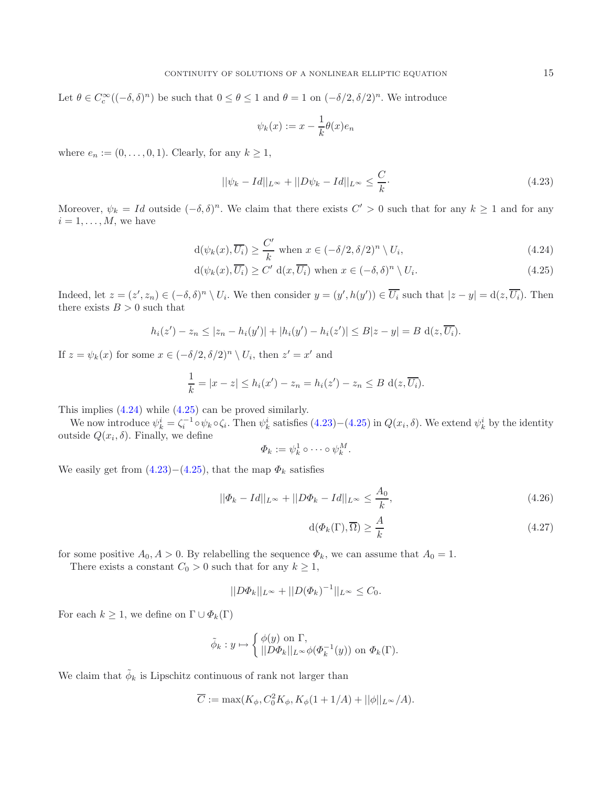Let  $\theta \in C_c^{\infty}((-\delta,\delta)^n)$  be such that  $0 \le \theta \le 1$  and  $\theta = 1$  on  $(-\delta/2,\delta/2)^n$ . We introduce

<span id="page-14-2"></span><span id="page-14-1"></span><span id="page-14-0"></span>
$$
\psi_k(x) := x - \frac{1}{k}\theta(x)e_n
$$

where  $e_n := (0, \ldots, 0, 1)$ . Clearly, for any  $k \geq 1$ ,

$$
||\psi_k - Id||_{L^{\infty}} + ||D\psi_k - Id||_{L^{\infty}} \le \frac{C}{k}.
$$
\n(4.23)

Moreover,  $\psi_k = Id$  outside  $(-\delta, \delta)^n$ . We claim that there exists  $C' > 0$  such that for any  $k \ge 1$  and for any  $i = 1, \ldots, M$ , we have

$$
d(\psi_k(x), \overline{U_i}) \ge \frac{C'}{k} \text{ when } x \in (-\delta/2, \delta/2)^n \setminus U_i,
$$
\n(4.24)

$$
d(\psi_k(x), \overline{U_i}) \ge C' d(x, \overline{U_i}) \text{ when } x \in (-\delta, \delta)^n \setminus U_i.
$$
 (4.25)

Indeed, let  $z = (z', z_n) \in (-\delta, \delta)^n \setminus U_i$ . We then consider  $y = (y', h(y')) \in \overline{U_i}$  such that  $|z - y| = d(z, \overline{U_i})$ . Then there exists  $B > 0$  such that

 $h_i(z') - z_n \leq |z_n - h_i(y')| + |h_i(y') - h_i(z')| \leq B|z - y| = B \, d(z, U_i).$ 

If  $z = \psi_k(x)$  for some  $x \in (-\delta/2, \delta/2)^n \setminus U_i$ , then  $z' = x'$  and

$$
\frac{1}{k} = |x - z| \le h_i(x') - z_n = h_i(z') - z_n \le B \operatorname{d}(z, \overline{U_i}).
$$

This implies [\(4.24\)](#page-14-0) while [\(4.25\)](#page-14-1) can be proved similarly.

We now introduce  $\psi_k^i = \zeta_i^{-1} \circ \psi_k \circ \zeta_i$ . Then  $\psi_k^i$  satisfies  $(4.23)-(4.25)$  $(4.23)-(4.25)$  $(4.23)-(4.25)$  in  $Q(x_i, \delta)$ . We extend  $\psi_k^i$  by the identity outside  $Q(x_i, \delta)$ . Finally, we define

<span id="page-14-4"></span><span id="page-14-3"></span>
$$
\Phi_k := \psi_k^1 \circ \cdots \circ \psi_k^M.
$$

We easily get from  $(4.23)-(4.25)$  $(4.23)-(4.25)$  $(4.23)-(4.25)$ , that the map  $\Phi_k$  satisfies

$$
||\Phi_k - Id||_{L^{\infty}} + ||D\Phi_k - Id||_{L^{\infty}} \le \frac{A_0}{k},
$$
\n(4.26)

$$
d(\Phi_k(\Gamma), \overline{\Omega}) \ge \frac{A}{k} \tag{4.27}
$$

for some positive  $A_0, A > 0$ . By relabelling the sequence  $\Phi_k$ , we can assume that  $A_0 = 1$ .

There exists a constant  $C_0 > 0$  such that for any  $k \geq 1$ ,

$$
||D\Phi_k||_{L^{\infty}} + ||D(\Phi_k)^{-1}||_{L^{\infty}} \leq C_0.
$$

For each  $k \geq 1$ , we define on  $\Gamma \cup \Phi_k(\Gamma)$ 

$$
\tilde{\phi}_k : y \mapsto \begin{cases} \phi(y) \text{ on } \Gamma, \\ ||D\Phi_k||_{L^{\infty}} \phi(\Phi_k^{-1}(y)) \text{ on } \Phi_k(\Gamma). \end{cases}
$$

We claim that  $\phi_k$  is Lipschitz continuous of rank not larger than

$$
\overline{C} := \max(K_{\phi}, C_0^2 K_{\phi}, K_{\phi}(1 + 1/A) + ||\phi||_{L^{\infty}}/A).
$$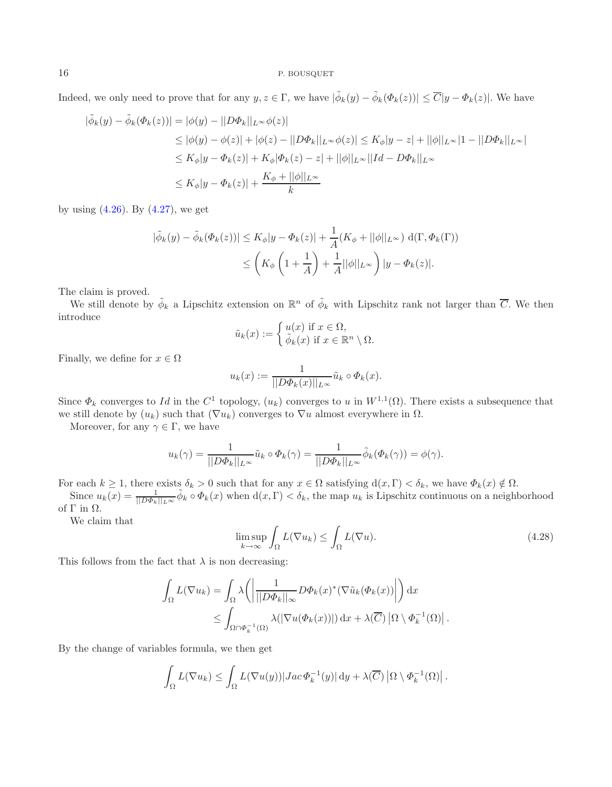Indeed, we only need to prove that for any  $y, z \in \Gamma$ , we have  $|\tilde{\phi}_k(y) - \tilde{\phi}_k(\Phi_k(z))| \leq \overline{C}|y - \Phi_k(z)|$ . We have

$$
|\tilde{\phi}_k(y) - \tilde{\phi}_k(\Phi_k(z))| = |\phi(y) - ||D\Phi_k||_{L^{\infty}}\phi(z)|
$$
  
\n
$$
\leq |\phi(y) - \phi(z)| + |\phi(z) - ||D\Phi_k||_{L^{\infty}}\phi(z)| \leq K_{\phi}|y - z| + ||\phi||_{L^{\infty}}|1 - ||D\Phi_k||_{L^{\infty}}|
$$
  
\n
$$
\leq K_{\phi}|y - \Phi_k(z)| + K_{\phi}|\Phi_k(z) - z| + ||\phi||_{L^{\infty}}||Id - D\Phi_k||_{L^{\infty}}
$$
  
\n
$$
\leq K_{\phi}|y - \Phi_k(z)| + \frac{K_{\phi} + ||\phi||_{L^{\infty}}}{k}
$$

by using  $(4.26)$ . By  $(4.27)$ , we get

$$
|\tilde{\phi}_k(y) - \tilde{\phi}_k(\Phi_k(z))| \le K_\phi |y - \Phi_k(z)| + \frac{1}{A}(K_\phi + ||\phi||_{L^\infty}) \, d(\Gamma, \Phi_k(\Gamma))
$$
  

$$
\le \left(K_\phi \left(1 + \frac{1}{A}\right) + \frac{1}{A}||\phi||_{L^\infty}\right) |y - \Phi_k(z)|.
$$

The claim is proved.

We still denote by  $\tilde{\phi}_k$  a Lipschitz extension on  $\mathbb{R}^n$  of  $\tilde{\phi}_k$  with Lipschitz rank not larger than  $\overline{C}$ . We then introduce

$$
\tilde{u}_k(x) := \begin{cases} u(x) \text{ if } x \in \Omega, \\ \tilde{\phi}_k(x) \text{ if } x \in \mathbb{R}^n \setminus \Omega. \end{cases}
$$

<span id="page-15-0"></span>Finally, we define for  $x \in \Omega$ 

$$
u_k(x) := \frac{1}{||D\Phi_k(x)||_{L^{\infty}}}\tilde{u}_k \circ \Phi_k(x).
$$

Since  $\Phi_k$  converges to Id in the  $C^1$  topology,  $(u_k)$  converges to u in  $W^{1,1}(\Omega)$ . There exists a subsequence that we still denote by  $(u_k)$  such that  $(\nabla u_k)$  converges to  $\nabla u$  almost everywhere in  $\Omega$ .

Moreover, for any  $\gamma \in \Gamma$ , we have

$$
u_k(\gamma) = \frac{1}{\|D\Phi_k\|_{L^\infty}} \tilde{u}_k \circ \Phi_k(\gamma) = \frac{1}{\|D\Phi_k\|_{L^\infty}} \tilde{\phi}_k(\Phi_k(\gamma)) = \phi(\gamma).
$$

For each  $k \geq 1$ , there exists  $\delta_k > 0$  such that for any  $x \in \Omega$  satisfying  $d(x, \Gamma) < \delta_k$ , we have  $\Phi_k(x) \notin \Omega$ .

Since  $u_k(x) = \frac{1}{\|D\Phi_k\|_{L^\infty}} \tilde{\phi}_k \circ \Phi_k(x)$  when  $d(x, \Gamma) < \delta_k$ , the map  $u_k$  is Lipschitz continuous on a neighborhood of  $\Gamma$  in  $\Omega$ .

We claim that

$$
\limsup_{k \to \infty} \int_{\Omega} L(\nabla u_k) \le \int_{\Omega} L(\nabla u). \tag{4.28}
$$

This follows from the fact that  $\lambda$  is non decreasing:

$$
\int_{\Omega} L(\nabla u_k) = \int_{\Omega} \lambda \left( \left| \frac{1}{||D\Phi_k||_{\infty}} D\Phi_k(x)^*(\nabla \tilde{u}_k(\Phi_k(x)) \right| \right) dx
$$
  

$$
\leq \int_{\Omega \cap \Phi_k^{-1}(\Omega)} \lambda(|\nabla u(\Phi_k(x))|) dx + \lambda(\overline{C}) |\Omega \setminus \Phi_k^{-1}(\Omega)|.
$$

By the change of variables formula, we then get

$$
\int_{\Omega} L(\nabla u_k) \leq \int_{\Omega} L(\nabla u(y)) |Jac \Phi_k^{-1}(y)| dy + \lambda(\overline{C}) |\Omega \setminus \Phi_k^{-1}(\Omega)|.
$$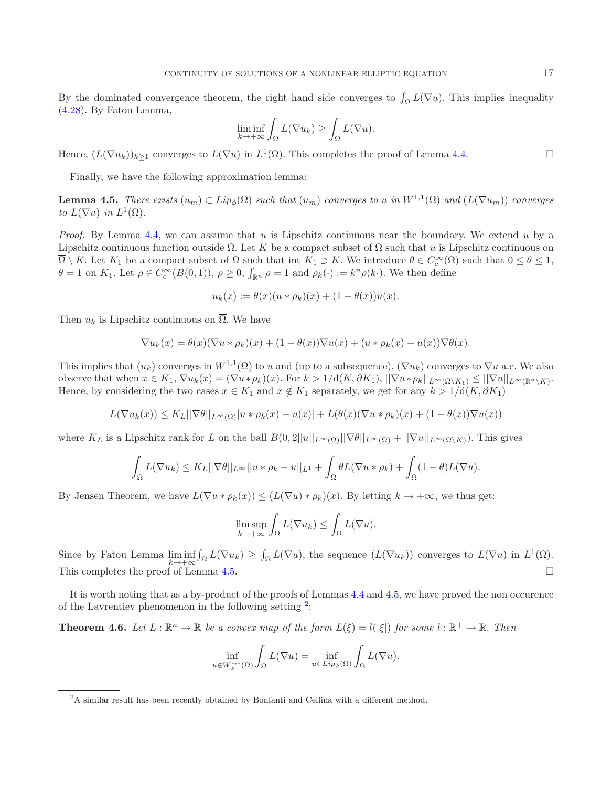By the dominated convergence theorem, the right hand side converges to  $\int_{\Omega} L(\nabla u)$ . This implies inequality [\(4.28\)](#page-15-0). By Fatou Lemma,

$$
\liminf_{k \to +\infty} \int_{\Omega} L(\nabla u_k) \ge \int_{\Omega} L(\nabla u).
$$

Hence,  $(L(\nabla u_k))_{k\geq 1}$  converges to  $L(\nabla u)$  in  $L^1(\Omega)$ . This completes the proof of Lemma [4.4.](#page-13-1)

Finally, we have the following approximation lemma:

<span id="page-16-0"></span>**Lemma 4.5.** *There exists*  $(u_m) \subset Lip_\phi(\Omega)$  *such that*  $(u_m)$  *converges to* u *in*  $W^{1,1}(\Omega)$  *and*  $(L(\nabla u_m))$  *converges to*  $L(\nabla u)$  *in*  $L^1(\Omega)$ .

*Proof.* By Lemma [4.4,](#page-13-1) we can assume that u is Lipschitz continuous near the boundary. We extend u by a Lipschitz continuous function outside  $\Omega$ . Let K be a compact subset of  $\Omega$  such that u is Lipschitz continuous on  $\Omega \setminus K$ . Let  $K_1$  be a compact subset of  $\Omega$  such that int  $K_1 \supset K$ . We introduce  $\theta \in C_c^{\infty}(\Omega)$  such that  $0 \le \theta \le 1$ ,  $\theta = 1$  on  $K_1$ . Let  $\rho \in C_c^{\infty}(B(0,1)), \rho \ge 0, \int_{\mathbb{R}^n} \rho = 1$  and  $\rho_k(\cdot) := k^n \rho(k \cdot)$ . We then define

$$
u_k(x) := \theta(x)(u * \rho_k)(x) + (1 - \theta(x))u(x).
$$

Then  $u_k$  is Lipschitz continuous on  $\overline{\Omega}$ . We have

$$
\nabla u_k(x) = \theta(x)(\nabla u * \rho_k)(x) + (1 - \theta(x))\nabla u(x) + (u * \rho_k(x) - u(x))\nabla \theta(x).
$$

This implies that  $(u_k)$  converges in  $W^{1,1}(\Omega)$  to u and (up to a subsequence),  $(\nabla u_k)$  converges to  $\nabla u$  a.e. We also observe that when  $x \in K_1$ ,  $\nabla u_k(x) = (\nabla u * \rho_k)(x)$ . For  $k > 1/d(K, \partial K_1)$ ,  $||\nabla u * \rho_k||_{L^{\infty}(\Omega \setminus K_1)} \leq ||\nabla u||_{L^{\infty}(\mathbb{R}^n \setminus K)}$ . Hence, by considering the two cases  $x \in K_1$  and  $x \notin K_1$  separately, we get for any  $k > 1/d(K, \partial K_1)$ 

$$
L(\nabla u_k(x)) \leq K_L ||\nabla \theta||_{L^{\infty}(\Omega)} |u * \rho_k(x) - u(x)| + L(\theta(x)(\nabla u * \rho_k)(x) + (1 - \theta(x))\nabla u(x))
$$

where  $K_L$  is a Lipschitz rank for L on the ball  $B(0, 2||u||_{L^{\infty}(\Omega)}||\nabla\theta||_{L^{\infty}(\Omega)} + ||\nabla u||_{L^{\infty}(\Omega \setminus K)}$ . This gives

$$
\int_{\Omega} L(\nabla u_k) \leq K_L ||\nabla \theta||_{L^{\infty}} ||u * \rho_k - u||_{L^1} + \int_{\Omega} \theta L(\nabla u * \rho_k) + \int_{\Omega} (1 - \theta)L(\nabla u).
$$

By Jensen Theorem, we have  $L(\nabla u * \rho_k(x)) \leq (L(\nabla u) * \rho_k)(x)$ . By letting  $k \to +\infty$ , we thus get:

$$
\limsup_{k \to +\infty} \int_{\Omega} L(\nabla u_k) \le \int_{\Omega} L(\nabla u).
$$

<span id="page-16-1"></span>Since by Fatou Lemma  $\liminf_{k \to +\infty} \int_{\Omega} L(\nabla u_k) \geq \int_{\Omega} L(\nabla u)$ , the sequence  $(L(\nabla u_k))$  converges to  $L(\nabla u)$  in  $L^1(\Omega)$ . This completes the proof of Lemma [4.5.](#page-16-0)  $\Box$ 

It is worth noting that as a by-product of the proofs of Lemmas [4.4](#page-13-1) and [4.5,](#page-16-0) we have proved the non occurence of the Lavrentiev phenomenon in the following setting  $2$ :

**Theorem 4.6.** Let  $L : \mathbb{R}^n \to \mathbb{R}$  be a convex map of the form  $L(\xi) = l(|\xi|)$  for some  $l : \mathbb{R}^+ \to \mathbb{R}$ . Then

$$
\inf_{u \in W_{\phi}^{1,1}(\Omega)} \int_{\Omega} L(\nabla u) = \inf_{u \in Lip_{\phi}(\Omega)} \int_{\Omega} L(\nabla u).
$$

<sup>2</sup>A similar result has been recently obtained by Bonfanti and Cellina with a different method.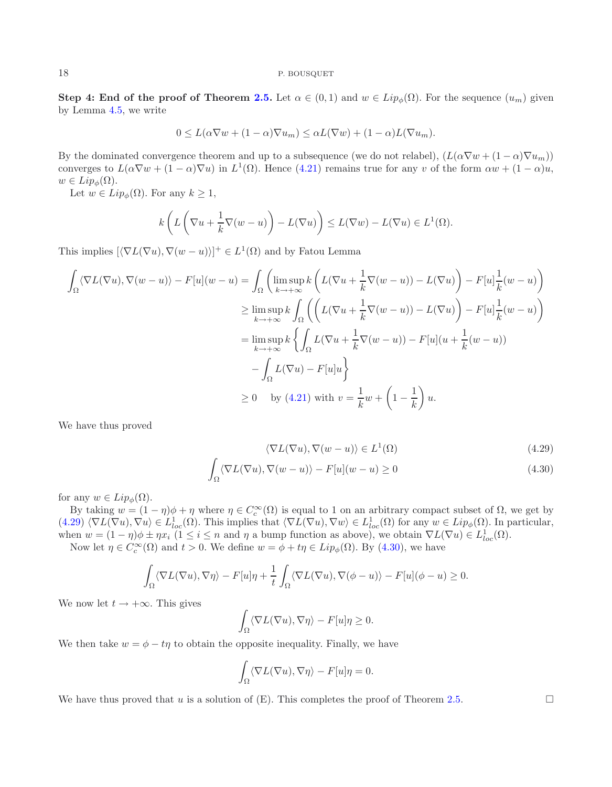**Step 4: End of the proof of Theorem [2.5.](#page-3-1)** Let  $\alpha \in (0,1)$  and  $w \in Lip_{\phi}(\Omega)$ . For the sequence  $(u_m)$  given by Lemma [4.5,](#page-16-0) we write

$$
0 \leq L(\alpha \nabla w + (1 - \alpha) \nabla u_m) \leq \alpha L(\nabla w) + (1 - \alpha) L(\nabla u_m).
$$

By the dominated convergence theorem and up to a subsequence (we do not relabel),  $(L(\alpha \nabla w + (1 - \alpha) \nabla u_m))$ converges to  $L(\alpha \nabla w + (1 - \alpha) \nabla u)$  in  $L^1(\Omega)$ . Hence [\(4.21\)](#page-13-2) remains true for any v of the form  $\alpha w + (1 - \alpha)u$ ,  $w \in Lip_{\phi}(\Omega)$ .

Let  $w \in Lip_{\phi}(\Omega)$ . For any  $k \geq 1$ ,

$$
k\left(L\left(\nabla u + \frac{1}{k}\nabla(w - u)\right) - L(\nabla u)\right) \le L(\nabla w) - L(\nabla u) \in L^1(\Omega).
$$

This implies  $[\langle \nabla L(\nabla u), \nabla (w - u) \rangle]^+ \in L^1(\Omega)$  and by Fatou Lemma

$$
\int_{\Omega} \langle \nabla L(\nabla u), \nabla (w - u) \rangle - F[u](w - u) = \int_{\Omega} \left( \limsup_{k \to +\infty} k \left( L(\nabla u + \frac{1}{k} \nabla (w - u)) - L(\nabla u) \right) - F[u] \frac{1}{k}(w - u) \right)
$$
  
\n
$$
\geq \limsup_{k \to +\infty} k \int_{\Omega} \left( \left( L(\nabla u + \frac{1}{k} \nabla (w - u)) - L(\nabla u) \right) - F[u] \frac{1}{k}(w - u) \right)
$$
  
\n
$$
= \limsup_{k \to +\infty} k \left\{ \int_{\Omega} L(\nabla u + \frac{1}{k} \nabla (w - u)) - F[u](u + \frac{1}{k}(w - u))
$$
  
\n
$$
- \int_{\Omega} L(\nabla u) - F[u]u \right\}
$$
  
\n
$$
\geq 0 \quad \text{by (4.21) with } v = \frac{1}{k} w + \left( 1 - \frac{1}{k} \right) u.
$$

We have thus proved

$$
\langle \nabla L(\nabla u), \nabla (w - u) \rangle \in L^{1}(\Omega)
$$
\n(4.29)

<span id="page-17-0"></span>
$$
\int_{\Omega} \langle \nabla L(\nabla u), \nabla (w - u) \rangle - F[u](w - u) \ge 0
$$
\n(4.30)

for any  $w \in Lip_{\phi}(\Omega)$ .

By taking  $w = (1 - \eta)\phi + \eta$  where  $\eta \in C_c^{\infty}(\Omega)$  is equal to 1 on an arbitrary compact subset of  $\Omega$ , we get by  $(4.29)\langle\nabla L(\nabla u),\nabla u\rangle\in L^1_{loc}(\Omega)$  $(4.29)\langle\nabla L(\nabla u),\nabla u\rangle\in L^1_{loc}(\Omega)$ . This implies that  $\langle\nabla L(\nabla u),\nabla w\rangle\in L^1_{loc}(\Omega)$  for any  $w\in Lip_\phi(\Omega)$ . In particular, when  $w = (1 - \eta)\phi \pm \eta x_i$   $(1 \le i \le n$  and  $\eta$  a bump function as above), we obtain  $\nabla L(\nabla u) \in L^1_{loc}(\Omega)$ .

Now let  $\eta \in C_c^{\infty}(\Omega)$  and  $t > 0$ . We define  $w = \phi + t\eta \in Lip_{\phi}(\Omega)$ . By [\(4.30\)](#page-17-0), we have

$$
\int_{\Omega} \langle \nabla L(\nabla u), \nabla \eta \rangle - F[u]\eta + \frac{1}{t} \int_{\Omega} \langle \nabla L(\nabla u), \nabla (\phi - u) \rangle - F[u](\phi - u) \ge 0.
$$

We now let  $t \to +\infty$ . This gives

$$
\int_{\Omega} \langle \nabla L(\nabla u), \nabla \eta \rangle - F[u] \eta \ge 0.
$$

We then take  $w = \phi - t\eta$  to obtain the opposite inequality. Finally, we have

$$
\int_{\Omega} \langle \nabla L(\nabla u), \nabla \eta \rangle - F[u] \eta = 0.
$$

We have thus proved that u is a solution of  $(E)$ . This completes the proof of Theorem [2.5.](#page-3-1)